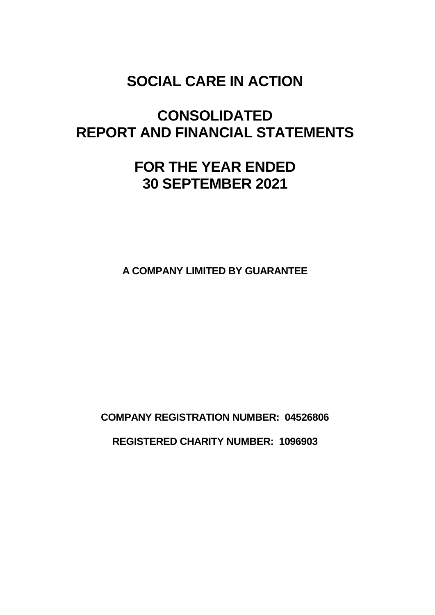# **CONSOLIDATED REPORT AND FINANCIAL STATEMENTS**

# **FOR THE YEAR ENDED 30 SEPTEMBER 2021**

**A COMPANY LIMITED BY GUARANTEE**

**COMPANY REGISTRATION NUMBER: 04526806 REGISTERED CHARITY NUMBER: 1096903**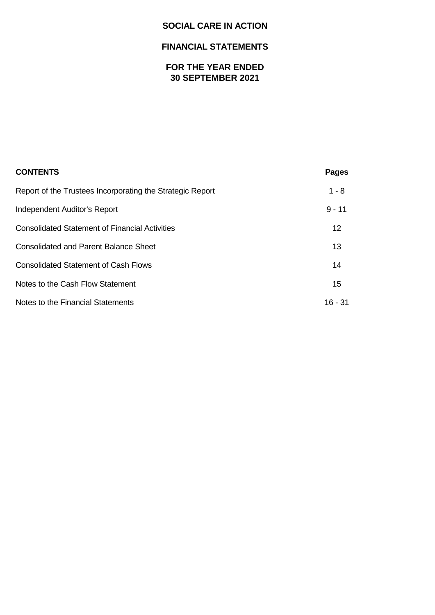# **FINANCIAL STATEMENTS**

# **FOR THE YEAR ENDED 30 SEPTEMBER 2021**

| <b>CONTENTS</b>                                           | <b>Pages</b> |
|-----------------------------------------------------------|--------------|
| Report of the Trustees Incorporating the Strategic Report | $1 - 8$      |
| Independent Auditor's Report                              | $9 - 11$     |
| <b>Consolidated Statement of Financial Activities</b>     | 12           |
| <b>Consolidated and Parent Balance Sheet</b>              | 13           |
| <b>Consolidated Statement of Cash Flows</b>               | 14           |
| Notes to the Cash Flow Statement                          | 15           |
| Notes to the Financial Statements                         | $16 - 31$    |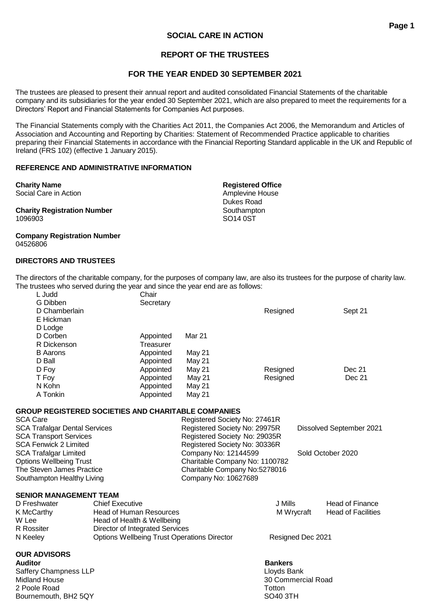# **REPORT OF THE TRUSTEES**

# **FOR THE YEAR ENDED 30 SEPTEMBER 2021**

The trustees are pleased to present their annual report and audited consolidated Financial Statements of the charitable company and its subsidiaries for the year ended 30 September 2021, which are also prepared to meet the requirements for a Directors' Report and Financial Statements for Companies Act purposes.

The Financial Statements comply with the Charities Act 2011, the Companies Act 2006, the Memorandum and Articles of Association and Accounting and Reporting by Charities: Statement of Recommended Practice applicable to charities preparing their Financial Statements in accordance with the Financial Reporting Standard applicable in the UK and Republic of Ireland (FRS 102) (effective 1 January 2015).

#### **REFERENCE AND ADMINISTRATIVE INFORMATION**

**Charity Registration Number** Southampton 1096903 SO14 0ST

**Company Registration Number** 04526806

#### **DIRECTORS AND TRUSTEES**

The directors of the charitable company, for the purposes of company law, are also its trustees for the purpose of charity law. The trustees who served during the year and since the year end are as follows:

| L Judd          | Chair     |        |          |         |
|-----------------|-----------|--------|----------|---------|
| G Dibben        | Secretary |        |          |         |
| D Chamberlain   |           |        | Resigned | Sept 21 |
| E Hickman       |           |        |          |         |
| D Lodge         |           |        |          |         |
| D Corben        | Appointed | Mar 21 |          |         |
| R Dickenson     | Treasurer |        |          |         |
| <b>B</b> Aarons | Appointed | May 21 |          |         |
| D Ball          | Appointed | May 21 |          |         |
| D Foy           | Appointed | May 21 | Resigned | Dec 21  |
| T Foy           | Appointed | May 21 | Resigned | Dec 21  |
| N Kohn          | Appointed | May 21 |          |         |
| A Tonkin        | Appointed | May 21 |          |         |
|                 |           |        |          |         |

#### **GROUP REGISTERED SOCIETIES AND CHARITABLE COMPANIES**

| <b>SCA Care</b>                      | Registered Society No: 27461R  |                          |
|--------------------------------------|--------------------------------|--------------------------|
| <b>SCA Trafalgar Dental Services</b> | Registered Society No: 29975R  | Dissolved September 2021 |
| <b>SCA Transport Services</b>        | Registered Society No: 29035R  |                          |
| SCA Fenwick 2 Limited                | Registered Society No: 30336R  |                          |
| <b>SCA Trafalgar Limited</b>         | Company No: 12144599           | Sold October 2020        |
| <b>Options Wellbeing Trust</b>       | Charitable Company No: 1100782 |                          |
| The Steven James Practice            | Charitable Company No:5278016  |                          |
| Southampton Healthy Living           | Company No: 10627689           |                          |
|                                      |                                |                          |

#### **SENIOR MANAGEMENT TEAM**

| D Freshwater | <b>Chief Executive</b>                      | J Mills           | <b>Head of Finance</b>    |
|--------------|---------------------------------------------|-------------------|---------------------------|
| K McCarthy   | Head of Human Resources                     | M Wrvcraft        | <b>Head of Facilities</b> |
| W Lee        | Head of Health & Wellbeing                  |                   |                           |
| R Rossiter   | Director of Integrated Services             |                   |                           |
| N Keeley     | Options Wellbeing Trust Operations Director | Resigned Dec 2021 |                           |

#### **OUR ADVISORS**

**Auditor Bankers** Saffery Champness LLP<br>
Midland House 88 and 2009 and 2009 and 2009 and 2009 and 2009 and 2009 and 2009 and 2009 and 2009 and 2009 and 2009 and 2009 and 2009 and 2009 and 2009 and 2009 and 2009 and 2009 and 2009 and 2009 an 2 Poole Road Totton Controller Controller Controller Controller Controller Controller Controller Controller Controller Controller Controller Controller Controller Controller Controller Controller Controller Controller Cont Bournemouth, BH2 5QY SO40 3TH

30 Commercial Road

Dukes Road

**Charity Name Registered Office** Social Care in Action **Amplevine House Amplevine House**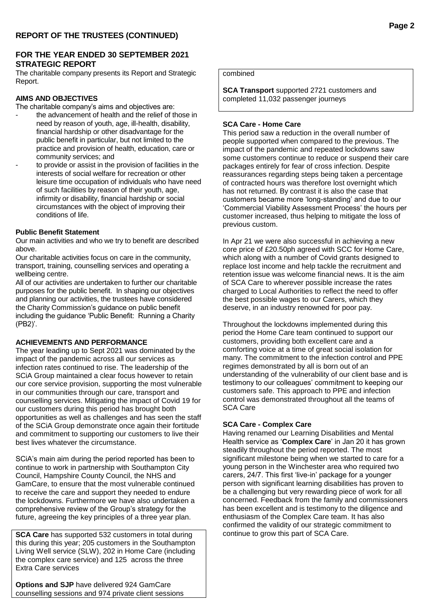#### **FOR THE YEAR ENDED 30 SEPTEMBER 2021 STRATEGIC REPORT**

The charitable company presents its Report and Strategic Report.

#### **AIMS AND OBJECTIVES**

The charitable company's aims and objectives are:

- the advancement of health and the relief of those in need by reason of youth, age, ill-health, disability, financial hardship or other disadvantage for the public benefit in particular, but not limited to the practice and provision of health, education, care or community services; and
	- to provide or assist in the provision of facilities in the interests of social welfare for recreation or other leisure time occupation of individuals who have need of such facilities by reason of their youth, age, infirmity or disability, financial hardship or social circumstances with the object of improving their conditions of life.

#### **Public Benefit Statement**

Our main activities and who we try to benefit are described above.

Our charitable activities focus on care in the community, transport, training, counselling services and operating a wellbeing centre.

All of our activities are undertaken to further our charitable purposes for the public benefit. In shaping our objectives and planning our activities, the trustees have considered the Charity Commission's guidance on public benefit including the guidance 'Public Benefit: Running a Charity (PB2)'.

#### **ACHIEVEMENTS AND PERFORMANCE**

The year leading up to Sept 2021 was dominated by the impact of the pandemic across all our services as infection rates continued to rise. The leadership of the SCiA Group maintained a clear focus however to retain our core service provision, supporting the most vulnerable in our communities through our care, transport and counselling services. Mitigating the impact of Covid 19 for our customers during this period has brought both opportunities as well as challenges and has seen the staff of the SCiA Group demonstrate once again their fortitude and commitment to supporting our customers to live their best lives whatever the circumstance.

SCiA's main aim during the period reported has been to continue to work in partnership with Southampton City Council, Hampshire County Council, the NHS and GamCare, to ensure that the most vulnerable continued to receive the care and support they needed to endure the lockdowns. Furthermore we have also undertaken a comprehensive review of the Group's strategy for the future, agreeing the key principles of a three year plan.

**SCA Care** has supported 532 customers in total during this during this year; 205 customers in the Southampton Living Well service (SLW), 202 in Home Care (including the complex care service) and 125 across the three Extra Care services

**Options and SJP** have delivered 924 GamCare counselling sessions and 974 private client sessions

#### combined

**SCA Transport** supported 2721 customers and completed 11,032 passenger journeys

#### **SCA Care - Home Care**

This period saw a reduction in the overall number of people supported when compared to the previous. The impact of the pandemic and repeated lockdowns saw some customers continue to reduce or suspend their care packages entirely for fear of cross infection. Despite reassurances regarding steps being taken a percentage of contracted hours was therefore lost overnight which has not returned. By contrast it is also the case that customers became more 'long-standing' and due to our 'Commercial Viability Assessment Process' the hours per customer increased, thus helping to mitigate the loss of previous custom.

In Apr 21 we were also successful in achieving a new core price of £20.50ph agreed with SCC for Home Care, which along with a number of Covid grants designed to replace lost income and help tackle the recruitment and retention issue was welcome financial news. It is the aim of SCA Care to wherever possible increase the rates charged to Local Authorities to reflect the need to offer the best possible wages to our Carers, which they deserve, in an industry renowned for poor pay.

Throughout the lockdowns implemented during this period the Home Care team continued to support our customers, providing both excellent care and a comforting voice at a time of great social isolation for many. The commitment to the infection control and PPE regimes demonstrated by all is born out of an understanding of the vulnerability of our client base and is testimony to our colleagues' commitment to keeping our customers safe. This approach to PPE and infection control was demonstrated throughout all the teams of SCA Care

#### **SCA Care - Complex Care**

Having renamed our Learning Disabilities and Mental Health service as '**Complex Care**' in Jan 20 it has grown steadily throughout the period reported. The most significant milestone being when we started to care for a young person in the Winchester area who required two carers, 24/7. This first 'live-in' package for a younger person with significant learning disabilities has proven to be a challenging but very rewarding piece of work for all concerned. Feedback from the family and commissioners has been excellent and is testimony to the diligence and enthusiasm of the Complex Care team. It has also confirmed the validity of our strategic commitment to continue to grow this part of SCA Care.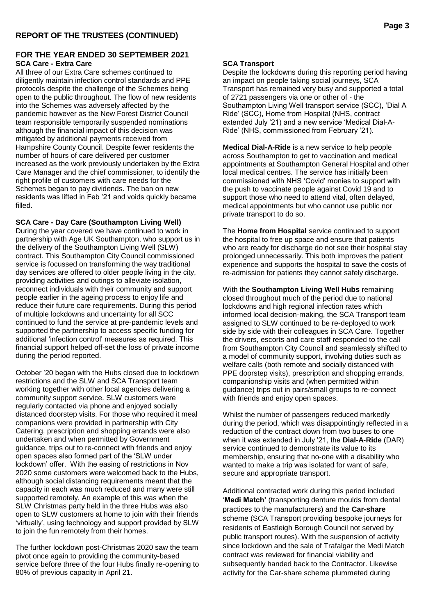#### **FOR THE YEAR ENDED 30 SEPTEMBER 2021 SCA Care - Extra Care**

All three of our Extra Care schemes continued to diligently maintain infection control standards and PPE protocols despite the challenge of the Schemes being open to the public throughout. The flow of new residents into the Schemes was adversely affected by the pandemic however as the New Forest District Council team responsible temporarily suspended nominations although the financial impact of this decision was mitigated by additional payments received from Hampshire County Council. Despite fewer residents the number of hours of care delivered per customer increased as the work previously undertaken by the Extra Care Manager and the chief commissioner, to identify the right profile of customers with care needs for the Schemes began to pay dividends. The ban on new residents was lifted in Feb '21 and voids quickly became filled.

**SCA Care - Day Care (Southampton Living Well)** During the year covered we have continued to work in partnership with Age UK Southampton, who support us in the delivery of the Southampton Living Well (SLW) contract. This Southampton City Council commissioned service is focussed on transforming the way traditional day services are offered to older people living in the city, providing activities and outings to alleviate isolation, reconnect individuals with their community and support people earlier in the ageing process to enjoy life and reduce their future care requirements. During this period of multiple lockdowns and uncertainty for all SCC continued to fund the service at pre-pandemic levels and supported the partnership to access specific funding for additional 'infection control' measures as required. This financial support helped off-set the loss of private income during the period reported.

October '20 began with the Hubs closed due to lockdown restrictions and the SLW and SCA Transport team working together with other local agencies delivering a community support service. SLW customers were regularly contacted via phone and enjoyed socially distanced doorstep visits. For those who required it meal companions were provided in partnership with City Catering, prescription and shopping errands were also undertaken and when permitted by Government guidance, trips out to re-connect with friends and enjoy open spaces also formed part of the 'SLW under lockdown' offer. With the easing of restrictions in Nov 2020 some customers were welcomed back to the Hubs, although social distancing requirements meant that the capacity in each was much reduced and many were still supported remotely. An example of this was when the SLW Christmas party held in the three Hubs was also open to SLW customers at home to join with their friends 'virtually', using technology and support provided by SLW to join the fun remotely from their homes.

The further lockdown post-Christmas 2020 saw the team pivot once again to providing the community-based service before three of the four Hubs finally re-opening to 80% of previous capacity in April 21.

#### **SCA Transport**

Despite the lockdowns during this reporting period having an impact on people taking social journeys, SCA Transport has remained very busy and supported a total of 2721 passengers via one or other of - the Southampton Living Well transport service (SCC), 'Dial A Ride' (SCC), Home from Hospital (NHS, contract extended July '21) and a new service 'Medical Dial-A-Ride' (NHS, commissioned from February '21).

**Medical Dial-A-Ride** is a new service to help people across Southampton to get to vaccination and medical appointments at Southampton General Hospital and other local medical centres. The service has initially been commissioned with NHS 'Covid' monies to support with the push to vaccinate people against Covid 19 and to support those who need to attend vital, often delayed, medical appointments but who cannot use public nor private transport to do so.

The **Home from Hospital** service continued to support the hospital to free up space and ensure that patients who are ready for discharge do not see their hospital stay prolonged unnecessarily. This both improves the patient experience and supports the hospital to save the costs of re-admission for patients they cannot safely discharge.

With the **Southampton Living Well Hubs** remaining closed throughout much of the period due to national lockdowns and high regional infection rates which informed local decision-making, the SCA Transport team assigned to SLW continued to be re-deployed to work side by side with their colleagues in SCA Care. Together the drivers, escorts and care staff responded to the call from Southampton City Council and seamlessly shifted to a model of community support, involving duties such as welfare calls (both remote and socially distanced with PPE doorstep visits), prescription and shopping errands, companionship visits and (when permitted within guidance) trips out in pairs/small groups to re-connect with friends and enjoy open spaces.

Whilst the number of passengers reduced markedly during the period, which was disappointingly reflected in a reduction of the contract down from two buses to one when it was extended in July '21, the **Dial-A-Ride** (DAR) service continued to demonstrate its value to its membership, ensuring that no-one with a disability who wanted to make a trip was isolated for want of safe, secure and appropriate transport.

Additional contracted work during this period included '**Medi Match'** (transporting denture moulds from dental practices to the manufacturers) and the **Car-share** scheme (SCA Transport providing bespoke journeys for residents of Eastleigh Borough Council not served by public transport routes). With the suspension of activity since lockdown and the sale of Trafalgar the Medi Match contract was reviewed for financial viability and subsequently handed back to the Contractor. Likewise activity for the Car-share scheme plummeted during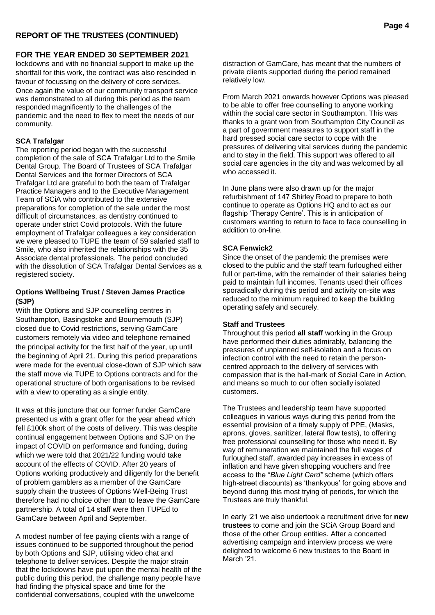# **REPORT OF THE TRUSTEES (CONTINUED)**

#### **FOR THE YEAR ENDED 30 SEPTEMBER 2021**

lockdowns and with no financial support to make up the shortfall for this work, the contract was also rescinded in favour of focussing on the delivery of core services. Once again the value of our community transport service was demonstrated to all during this period as the team responded magnificently to the challenges of the pandemic and the need to flex to meet the needs of our community.

#### **SCA Trafalgar**

The reporting period began with the successful completion of the sale of SCA Trafalgar Ltd to the Smile Dental Group. The Board of Trustees of SCA Trafalgar Dental Services and the former Directors of SCA Trafalgar Ltd are grateful to both the team of Trafalgar Practice Managers and to the Executive Management Team of SCiA who contributed to the extensive preparations for completion of the sale under the most difficult of circumstances, as dentistry continued to operate under strict Covid protocols. With the future employment of Trafalgar colleagues a key consideration we were pleased to TUPE the team of 59 salaried staff to Smile, who also inherited the relationships with the 35 Associate dental professionals. The period concluded with the dissolution of SCA Trafalgar Dental Services as a registered society.

#### **Options Wellbeing Trust / Steven James Practice (SJP)**

With the Options and SJP counselling centres in Southampton, Basingstoke and Bournemouth (SJP) closed due to Covid restrictions, serving GamCare customers remotely via video and telephone remained the principal activity for the first half of the year, up until the beginning of April 21. During this period preparations were made for the eventual close-down of SJP which saw the staff move via TUPE to Options contracts and for the operational structure of both organisations to be revised with a view to operating as a single entity.

It was at this juncture that our former funder GamCare presented us with a grant offer for the year ahead which fell £100k short of the costs of delivery. This was despite continual engagement between Options and SJP on the impact of COVID on performance and funding, during which we were told that 2021/22 funding would take account of the effects of COVID. After 20 years of Options working productively and diligently for the benefit of problem gamblers as a member of the GamCare supply chain the trustees of Options Well-Being Trust therefore had no choice other than to leave the GamCare partnership. A total of 14 staff were then TUPEd to GamCare between April and September.

A modest number of fee paying clients with a range of issues continued to be supported throughout the period by both Options and SJP, utilising video chat and telephone to deliver services. Despite the major strain that the lockdowns have put upon the mental health of the public during this period, the challenge many people have had finding the physical space and time for the confidential conversations, coupled with the unwelcome

distraction of GamCare, has meant that the numbers of private clients supported during the period remained relatively low.

From March 2021 onwards however Options was pleased to be able to offer free counselling to anyone working within the social care sector in Southampton. This was thanks to a grant won from Southampton City Council as a part of government measures to support staff in the hard pressed social care sector to cope with the pressures of delivering vital services during the pandemic and to stay in the field. This support was offered to all social care agencies in the city and was welcomed by all who accessed it.

In June plans were also drawn up for the major refurbishment of 147 Shirley Road to prepare to both continue to operate as Options HQ and to act as our flagship 'Therapy Centre'. This is in anticipation of customers wanting to return to face to face counselling in addition to on-line.

#### **SCA Fenwick2**

Since the onset of the pandemic the premises were closed to the public and the staff team furloughed either full or part-time, with the remainder of their salaries being paid to maintain full incomes. Tenants used their offices sporadically during this period and activity on-site was reduced to the minimum required to keep the building operating safely and securely.

#### **Staff and Trustees**

Throughout this period **all staff** working in the Group have performed their duties admirably, balancing the pressures of unplanned self-isolation and a focus on infection control with the need to retain the personcentred approach to the delivery of services with compassion that is the hall-mark of Social Care in Action, and means so much to our often socially isolated customers.

The Trustees and leadership team have supported colleagues in various ways during this period from the essential provision of a timely supply of PPE, (Masks, aprons, gloves, sanitizer, lateral flow tests), to offering free professional counselling for those who need it. By way of remuneration we maintained the full wages of furloughed staff, awarded pay increases in excess of inflation and have given shopping vouchers and free access to the "*Blue Light Card"* scheme (which offers high-street discounts) as 'thankyous' for going above and beyond during this most trying of periods, for which the Trustees are truly thankful.

In early '21 we also undertook a recruitment drive for **new trustees** to come and join the SCiA Group Board and those of the other Group entities. After a concerted advertising campaign and interview process we were delighted to welcome 6 new trustees to the Board in March '21.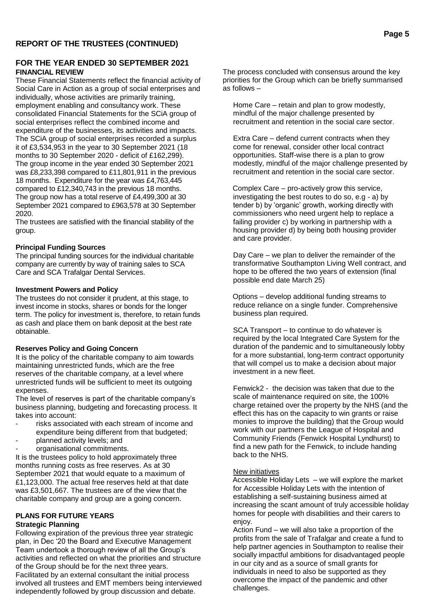#### **FOR THE YEAR ENDED 30 SEPTEMBER 2021 FINANCIAL REVIEW**

These Financial Statements reflect the financial activity of Social Care in Action as a group of social enterprises and individually, whose activities are primarily training, employment enabling and consultancy work. These consolidated Financial Statements for the SCiA group of social enterprises reflect the combined income and expenditure of the businesses, its activities and impacts. The SCiA group of social enterprises recorded a surplus it of £3,534,953 in the year to 30 September 2021 (18 months to 30 September 2020 - deficit of £162,299). The group income in the year ended 30 September 2021 was £8,233,398 compared to £11,801,911 in the previous 18 months. Expenditure for the year was £4,763,445 compared to £12,340,743 in the previous 18 months. The group now has a total reserve of £4,499,300 at 30 September 2021 compared to £963,578 at 30 September 2020.

The trustees are satisfied with the financial stability of the group.

#### **Principal Funding Sources**

The principal funding sources for the individual charitable company are currently by way of training sales to SCA Care and SCA Trafalgar Dental Services.

#### **Investment Powers and Policy**

The trustees do not consider it prudent, at this stage, to invest income in stocks, shares or bonds for the longer term. The policy for investment is, therefore, to retain funds as cash and place them on bank deposit at the best rate obtainable.

#### **Reserves Policy and Going Concern**

It is the policy of the charitable company to aim towards maintaining unrestricted funds, which are the free reserves of the charitable company, at a level where unrestricted funds will be sufficient to meet its outgoing expenses.

The level of reserves is part of the charitable company's business planning, budgeting and forecasting process. It takes into account:

- risks associated with each stream of income and expenditure being different from that budgeted;
- planned activity levels; and
- organisational commitments.

It is the trustees policy to hold approximately three months running costs as free reserves. As at 30 September 2021 that would equate to a maximum of £1,123,000. The actual free reserves held at that date was £3,501,667. The trustees are of the view that the charitable company and group are a going concern.

# **PLANS FOR FUTURE YEARS**

# **Strategic Planning**

Following expiration of the previous three year strategic plan, in Dec '20 the Board and Executive Management Team undertook a thorough review of all the Group's activities and reflected on what the priorities and structure of the Group should be for the next three years. Facilitated by an external consultant the initial process involved all trustees and EMT members being interviewed independently followed by group discussion and debate.

The process concluded with consensus around the key priorities for the Group which can be briefly summarised as follows –

Home Care – retain and plan to grow modestly, mindful of the major challenge presented by recruitment and retention in the social care sector.

Extra Care – defend current contracts when they come for renewal, consider other local contract opportunities. Staff-wise there is a plan to grow modestly, mindful of the major challenge presented by recruitment and retention in the social care sector.

Complex Care – pro-actively grow this service, investigating the best routes to do so, e.g - a) by tender b) by 'organic' growth, working directly with commissioners who need urgent help to replace a failing provider c) by working in partnership with a housing provider d) by being both housing provider and care provider.

Day Care – we plan to deliver the remainder of the transformative Southampton Living Well contract, and hope to be offered the two years of extension (final possible end date March 25)

Options – develop additional funding streams to reduce reliance on a single funder. Comprehensive business plan required.

SCA Transport – to continue to do whatever is required by the local Integrated Care System for the duration of the pandemic and to simultaneously lobby for a more substantial, long-term contract opportunity that will compel us to make a decision about major investment in a new fleet.

Fenwick2 - the decision was taken that due to the scale of maintenance required on site, the 100% charge retained over the property by the NHS (and the effect this has on the capacity to win grants or raise monies to improve the building) that the Group would work with our partners the League of Hospital and Community Friends (Fenwick Hospital Lyndhurst) to find a new path for the Fenwick, to include handing back to the NHS.

#### New initiatives

Accessible Holiday Lets – we will explore the market for Accessible Holiday Lets with the intention of establishing a self-sustaining business aimed at increasing the scant amount of truly accessible holiday homes for people with disabilities and their carers to enjoy.

Action Fund – we will also take a proportion of the profits from the sale of Trafalgar and create a fund to help partner agencies in Southampton to realise their socially impactful ambitions for disadvantaged people in our city and as a source of small grants for individuals in need to also be supported as they overcome the impact of the pandemic and other challenges.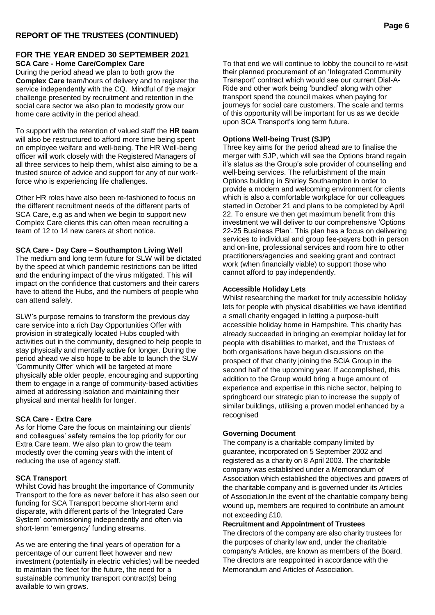#### **FOR THE YEAR ENDED 30 SEPTEMBER 2021 SCA Care - Home Care/Complex Care**

During the period ahead we plan to both grow the **Complex Care** team/hours of delivery and to register the service independently with the CQ. Mindful of the major challenge presented by recruitment and retention in the social care sector we also plan to modestly grow our home care activity in the period ahead.

To support with the retention of valued staff the **HR team** will also be restructured to afford more time being spent on employee welfare and well-being. The HR Well-being officer will work closely with the Registered Managers of all three services to help them, whilst also aiming to be a trusted source of advice and support for any of our workforce who is experiencing life challenges.

Other HR roles have also been re-fashioned to focus on the different recruitment needs of the different parts of SCA Care, e.g as and when we begin to support new Complex Care clients this can often mean recruiting a team of 12 to 14 new carers at short notice.

#### **SCA Care - Day Care – Southampton Living Well**

The medium and long term future for SLW will be dictated by the speed at which pandemic restrictions can be lifted and the enduring impact of the virus mitigated. This will impact on the confidence that customers and their carers have to attend the Hubs, and the numbers of people who can attend safely.

SLW's purpose remains to transform the previous day care service into a rich Day Opportunities Offer with provision in strategically located Hubs coupled with activities out in the community, designed to help people to stay physically and mentally active for longer. During the period ahead we also hope to be able to launch the SLW 'Community Offer' which will be targeted at more physically able older people, encouraging and supporting them to engage in a range of community-based activities aimed at addressing isolation and maintaining their physical and mental health for longer.

#### **SCA Care - Extra Care**

As for Home Care the focus on maintaining our clients' and colleagues' safety remains the top priority for our Extra Care team. We also plan to grow the team modestly over the coming years with the intent of reducing the use of agency staff.

#### **SCA Transport**

Whilst Covid has brought the importance of Community Transport to the fore as never before it has also seen our funding for SCA Transport become short-term and disparate, with different parts of the 'Integrated Care System' commissioning independently and often via short-term 'emergency' funding streams.

As we are entering the final years of operation for a percentage of our current fleet however and new investment (potentially in electric vehicles) will be needed to maintain the fleet for the future, the need for a sustainable community transport contract(s) being available to win grows.

To that end we will continue to lobby the council to re-visit their planned procurement of an 'Integrated Community Transport' contract which would see our current Dial-A-Ride and other work being 'bundled' along with other transport spend the council makes when paying for journeys for social care customers. The scale and terms of this opportunity will be important for us as we decide upon SCA Transport's long term future.

#### **Options Well-being Trust (SJP)**

Three key aims for the period ahead are to finalise the merger with SJP, which will see the Options brand regain it's status as the Group's sole provider of counselling and well-being services. The refurbishment of the main Options building in Shirley Southampton in order to provide a modern and welcoming environment for clients which is also a comfortable workplace for our colleagues started in October 21 and plans to be completed by April 22. To ensure we then get maximum benefit from this investment we will deliver to our comprehensive 'Options 22-25 Business Plan'. This plan has a focus on delivering services to individual and group fee-payers both in person and on-line, professional services and room hire to other practitioners/agencies and seeking grant and contract work (when financially viable) to support those who cannot afford to pay independently.

#### **Accessible Holiday Lets**

Whilst researching the market for truly accessible holiday lets for people with physical disabilities we have identified a small charity engaged in letting a purpose-built accessible holiday home in Hampshire. This charity has already succeeded in bringing an exemplar holiday let for people with disabilities to market, and the Trustees of both organisations have begun discussions on the prospect of that charity joining the SCiA Group in the second half of the upcoming year. If accomplished, this addition to the Group would bring a huge amount of experience and expertise in this niche sector, helping to springboard our strategic plan to increase the supply of similar buildings, utilising a proven model enhanced by a recognised

#### **Governing Document**

The company is a charitable company limited by guarantee, incorporated on 5 September 2002 and registered as a charity on 8 April 2003. The charitable company was established under a Memorandum of Association which established the objectives and powers of the charitable company and is governed under its Articles of Association.In the event of the charitable company being wound up, members are required to contribute an amount not exceeding £10.

**Recruitment and Appointment of Trustees**

The directors of the company are also charity trustees for the purposes of charity law and, under the charitable company's Articles, are known as members of the Board. The directors are reappointed in accordance with the Memorandum and Articles of Association.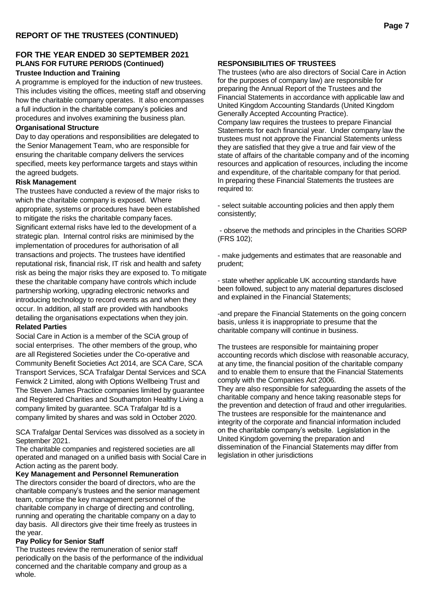# **FOR THE YEAR ENDED 30 SEPTEMBER 2021 PLANS FOR FUTURE PERIODS (Continued)**

# **Trustee Induction and Training**

A programme is employed for the induction of new trustees. This includes visiting the offices, meeting staff and observing how the charitable company operates. It also encompasses a full induction in the charitable company's policies and procedures and involves examining the business plan.

#### **Organisational Structure**

Day to day operations and responsibilities are delegated to the Senior Management Team, who are responsible for ensuring the charitable company delivers the services specified, meets key performance targets and stays within the agreed budgets.

#### **Risk Management**

The trustees have conducted a review of the major risks to which the charitable company is exposed. Where appropriate, systems or procedures have been established to mitigate the risks the charitable company faces. Significant external risks have led to the development of a strategic plan. Internal control risks are minimised by the implementation of procedures for authorisation of all transactions and projects. The trustees have identified reputational risk, financial risk, IT risk and health and safety risk as being the major risks they are exposed to. To mitigate these the charitable company have controls which include partnership working, upgrading electronic networks and introducing technology to record events as and when they occur. In addition, all staff are provided with handbooks detailing the organisations expectations when they join. **Related Parties**

Social Care in Action is a member of the SCiA group of social enterprises. The other members of the group, who are all Registered Societies under the Co-operative and Community Benefit Societies Act 2014, are SCA Care, SCA Transport Services, SCA Trafalgar Dental Services and SCA Fenwick 2 Limited, along with Options Wellbeing Trust and The Steven James Practice companies limited by guarantee and Registered Charities and Southampton Healthy Living a company limited by guarantee. SCA Trafalgar ltd is a company limited by shares and was sold in October 2020.

SCA Trafalgar Dental Services was dissolved as a society in September 2021.

The charitable companies and registered societies are all operated and managed on a unified basis with Social Care in Action acting as the parent body.

**Key Management and Personnel Remuneration** The directors consider the board of directors, who are the charitable company's trustees and the senior management team, comprise the key management personnel of the charitable company in charge of directing and controlling, running and operating the charitable company on a day to day basis. All directors give their time freely as trustees in the year.

#### **Pay Policy for Senior Staff**

The trustees review the remuneration of senior staff periodically on the basis of the performance of the individual concerned and the charitable company and group as a whole.

#### **RESPONSIBILITIES OF TRUSTEES**

The trustees (who are also directors of Social Care in Action for the purposes of company law) are responsible for preparing the Annual Report of the Trustees and the Financial Statements in accordance with applicable law and United Kingdom Accounting Standards (United Kingdom Generally Accepted Accounting Practice). Company law requires the trustees to prepare Financial Statements for each financial year. Under company law the trustees must not approve the Financial Statements unless they are satisfied that they give a true and fair view of the state of affairs of the charitable company and of the incoming resources and application of resources, including the income and expenditure, of the charitable company for that period. In preparing these Financial Statements the trustees are required to:

- select suitable accounting policies and then apply them consistently;

- observe the methods and principles in the Charities SORP (FRS 102);

- make judgements and estimates that are reasonable and prudent;

- state whether applicable UK accounting standards have been followed, subject to any material departures disclosed and explained in the Financial Statements;

-and prepare the Financial Statements on the going concern basis, unless it is inappropriate to presume that the charitable company will continue in business.

The trustees are responsible for maintaining proper accounting records which disclose with reasonable accuracy, at any time, the financial position of the charitable company and to enable them to ensure that the Financial Statements comply with the Companies Act 2006.

They are also responsible for safeguarding the assets of the charitable company and hence taking reasonable steps for the prevention and detection of fraud and other irregularities. The trustees are responsible for the maintenance and integrity of the corporate and financial information included on the charitable company's website. Legislation in the United Kingdom governing the preparation and dissemination of the Financial Statements may differ from legislation in other jurisdictions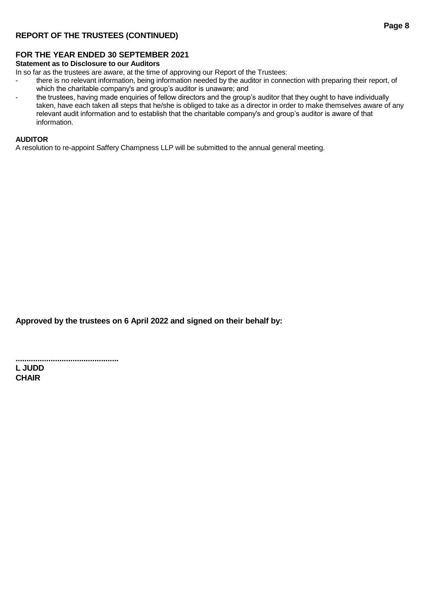# **REPORT OF THE TRUSTEES (CONTINUED)**

#### **FOR THE YEAR ENDED 30 SEPTEMBER 2021**

#### **Statement as to Disclosure to our Auditors**

In so far as the trustees are aware, at the time of approving our Report of the Trustees:

- there is no relevant information, being information needed by the auditor in connection with preparing their report, of which the charitable company's and group's auditor is unaware; and
- the trustees, having made enquiries of fellow directors and the group's auditor that they ought to have individually taken, have each taken all steps that he/she is obliged to take as a director in order to make themselves aware of any relevant audit information and to establish that the charitable company's and group's auditor is aware of that information.

#### **AUDITOR**

A resolution to re-appoint Saffery Champness LLP will be submitted to the annual general meeting.

**Approved by the trustees on 6 April 2022 and signed on their behalf by:**

**............................................... L JUDD CHAIR**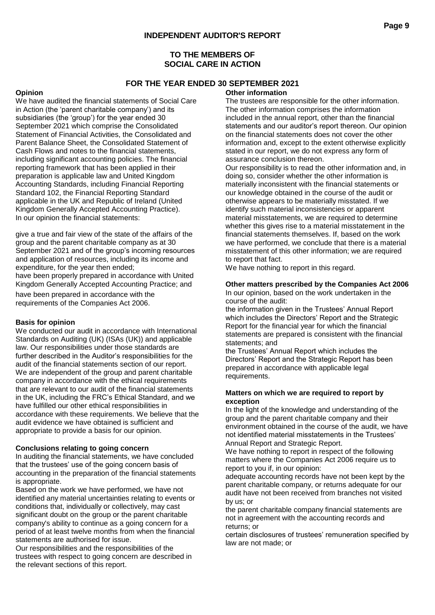## **TO THE MEMBERS OF SOCIAL CARE IN ACTION**

## **FOR THE YEAR ENDED 30 SEPTEMBER 2021**

#### **Opinion**

We have audited the financial statements of Social Care in Action (the 'parent charitable company') and its subsidiaries (the 'group') for the year ended 30 September 2021 which comprise the Consolidated Statement of Financial Activities, the Consolidated and Parent Balance Sheet, the Consolidated Statement of Cash Flows and notes to the financial statements, including significant accounting policies. The financial reporting framework that has been applied in their preparation is applicable law and United Kingdom Accounting Standards, including Financial Reporting Standard 102, the Financial Reporting Standard applicable in the UK and Republic of Ireland (United Kingdom Generally Accepted Accounting Practice). In our opinion the financial statements:

give a true and fair view of the state of the affairs of the group and the parent charitable company as at 30 September 2021 and of the group's incoming resources and application of resources, including its income and expenditure, for the year then ended; have been properly prepared in accordance with United

Kingdom Generally Accepted Accounting Practice; and have been prepared in accordance with the

requirements of the Companies Act 2006.

#### **Basis for opinion**

We conducted our audit in accordance with International Standards on Auditing (UK) (ISAs (UK)) and applicable law. Our responsibilities under those standards are further described in the Auditor's responsibilities for the audit of the financial statements section of our report. We are independent of the group and parent charitable company in accordance with the ethical requirements that are relevant to our audit of the financial statements in the UK, including the FRC's Ethical Standard, and we have fulfilled our other ethical responsibilities in accordance with these requirements. We believe that the audit evidence we have obtained is sufficient and appropriate to provide a basis for our opinion.

#### **Conclusions relating to going concern**

In auditing the financial statements, we have concluded that the trustees' use of the going concern basis of accounting in the preparation of the financial statements is appropriate.

Based on the work we have performed, we have not identified any material uncertainties relating to events or conditions that, individually or collectively, may cast significant doubt on the group or the parent charitable company's ability to continue as a going concern for a period of at least twelve months from when the financial statements are authorised for issue.

Our responsibilities and the responsibilities of the trustees with respect to going concern are described in the relevant sections of this report.

#### **Other information**

The trustees are responsible for the other information. The other information comprises the information included in the annual report, other than the financial statements and our auditor's report thereon. Our opinion on the financial statements does not cover the other information and, except to the extent otherwise explicitly stated in our report, we do not express any form of assurance conclusion thereon.

Our responsibility is to read the other information and, in doing so, consider whether the other information is materially inconsistent with the financial statements or our knowledge obtained in the course of the audit or otherwise appears to be materially misstated. If we identify such material inconsistencies or apparent material misstatements, we are required to determine whether this gives rise to a material misstatement in the financial statements themselves. If, based on the work we have performed, we conclude that there is a material misstatement of this other information; we are required to report that fact.

We have nothing to report in this regard.

# **Other matters prescribed by the Companies Act 2006**

In our opinion, based on the work undertaken in the course of the audit:

the information given in the Trustees' Annual Report which includes the Directors' Report and the Strategic Report for the financial year for which the financial statements are prepared is consistent with the financial statements; and

the Trustees' Annual Report which includes the Directors' Report and the Strategic Report has been prepared in accordance with applicable legal requirements.

#### **Matters on which we are required to report by exception**

In the light of the knowledge and understanding of the group and the parent charitable company and their environment obtained in the course of the audit, we have not identified material misstatements in the Trustees' Annual Report and Strategic Report.

We have nothing to report in respect of the following matters where the Companies Act 2006 require us to report to you if, in our opinion:

adequate accounting records have not been kept by the parent charitable company, or returns adequate for our audit have not been received from branches not visited by us; or

the parent charitable company financial statements are not in agreement with the accounting records and returns; or

certain disclosures of trustees' remuneration specified by law are not made; or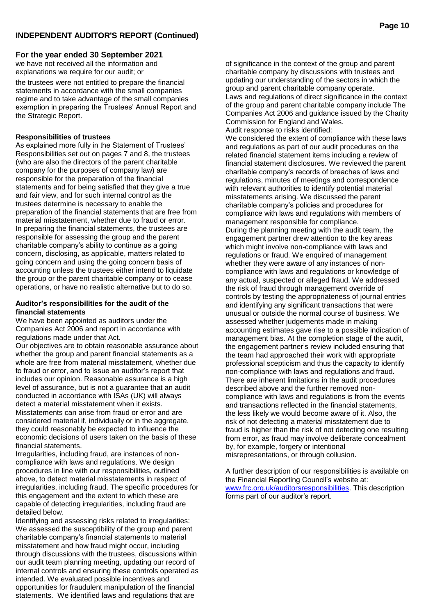we have not received all the information and explanations we require for our audit; or

the trustees were not entitled to prepare the financial statements in accordance with the small companies regime and to take advantage of the small companies exemption in preparing the Trustees' Annual Report and the Strategic Report.

#### **Responsibilities of trustees**

As explained more fully in the Statement of Trustees' Responsibilities set out on pages 7 and 8, the trustees (who are also the directors of the parent charitable company for the purposes of company law) are responsible for the preparation of the financial statements and for being satisfied that they give a true and fair view, and for such internal control as the trustees determine is necessary to enable the preparation of the financial statements that are free from material misstatement, whether due to fraud or error. In preparing the financial statements, the trustees are responsible for assessing the group and the parent charitable company's ability to continue as a going concern, disclosing, as applicable, matters related to going concern and using the going concern basis of accounting unless the trustees either intend to liquidate the group or the parent charitable company or to cease operations, or have no realistic alternative but to do so.

#### **Auditor's responsibilities for the audit of the financial statements**

We have been appointed as auditors under the Companies Act 2006 and report in accordance with regulations made under that Act.

Our objectives are to obtain reasonable assurance about whether the group and parent financial statements as a whole are free from material misstatement, whether due to fraud or error, and to issue an auditor's report that includes our opinion. Reasonable assurance is a high level of assurance, but is not a guarantee that an audit conducted in accordance with ISAs (UK) will always detect a material misstatement when it exists. Misstatements can arise from fraud or error and are considered material if, individually or in the aggregate, they could reasonably be expected to influence the economic decisions of users taken on the basis of these financial statements.

Irregularities, including fraud, are instances of noncompliance with laws and regulations. We design procedures in line with our responsibilities, outlined above, to detect material misstatements in respect of irregularities, including fraud. The specific procedures for this engagement and the extent to which these are capable of detecting irregularities, including fraud are detailed below.

Identifying and assessing risks related to irregularities: We assessed the susceptibility of the group and parent charitable company's financial statements to material misstatement and how fraud might occur, including through discussions with the trustees, discussions within our audit team planning meeting, updating our record of internal controls and ensuring these controls operated as intended. We evaluated possible incentives and opportunities for fraudulent manipulation of the financial statements. We identified laws and regulations that are

of significance in the context of the group and parent charitable company by discussions with trustees and updating our understanding of the sectors in which the group and parent charitable company operate. Laws and regulations of direct significance in the context of the group and parent charitable company include The Companies Act 2006 and guidance issued by the Charity Commission for England and Wales. Audit response to risks identified:

We considered the extent of compliance with these laws and regulations as part of our audit procedures on the related financial statement items including a review of financial statement disclosures. We reviewed the parent charitable company's records of breaches of laws and regulations, minutes of meetings and correspondence with relevant authorities to identify potential material misstatements arising. We discussed the parent charitable company's policies and procedures for compliance with laws and regulations with members of management responsible for compliance. During the planning meeting with the audit team, the engagement partner drew attention to the key areas which might involve non-compliance with laws and regulations or fraud. We enquired of management whether they were aware of any instances of noncompliance with laws and regulations or knowledge of any actual, suspected or alleged fraud. We addressed the risk of fraud through management override of controls by testing the appropriateness of journal entries and identifying any significant transactions that were unusual or outside the normal course of business. We assessed whether judgements made in making accounting estimates gave rise to a possible indication of management bias. At the completion stage of the audit, the engagement partner's review included ensuring that the team had approached their work with appropriate professional scepticism and thus the capacity to identify non-compliance with laws and regulations and fraud. There are inherent limitations in the audit procedures described above and the further removed noncompliance with laws and regulations is from the events and transactions reflected in the financial statements, the less likely we would become aware of it. Also, the risk of not detecting a material misstatement due to fraud is higher than the risk of not detecting one resulting from error, as fraud may involve deliberate concealment by, for example, forgery or intentional misrepresentations, or through collusion.

A further description of our responsibilities is available on the Financial Reporting Council's website at: [www.frc.org.uk/auditorsresponsibilities.](http://www.frc.org.uk/auditorsresponsibilities) This description forms part of our auditor's report.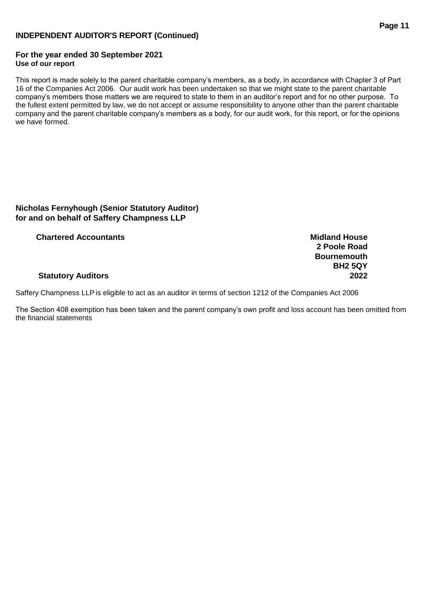# **INDEPENDENT AUDITOR'S REPORT (Continued)**

#### **For the year ended 30 September 2021 Use of our report**

This report is made solely to the parent charitable company's members, as a body, in accordance with Chapter 3 of Part 16 of the Companies Act 2006. Our audit work has been undertaken so that we might state to the parent charitable company's members those matters we are required to state to them in an auditor's report and for no other purpose. To the fullest extent permitted by law, we do not accept or assume responsibility to anyone other than the parent charitable company and the parent charitable company's members as a body, for our audit work, for this report, or for the opinions we have formed.

# **Nicholas Fernyhough (Senior Statutory Auditor) for and on behalf of Saffery Champness LLP**

**Chartered Accountants Midland House**

#### **Statutory Auditors 2022**

Saffery Champness LLP is eligible to act as an auditor in terms of section 1212 of the Companies Act 2006

The Section 408 exemption has been taken and the parent company's own profit and loss account has been omitted from the financial statements

**2 Poole Road Bournemouth BH2 5QY**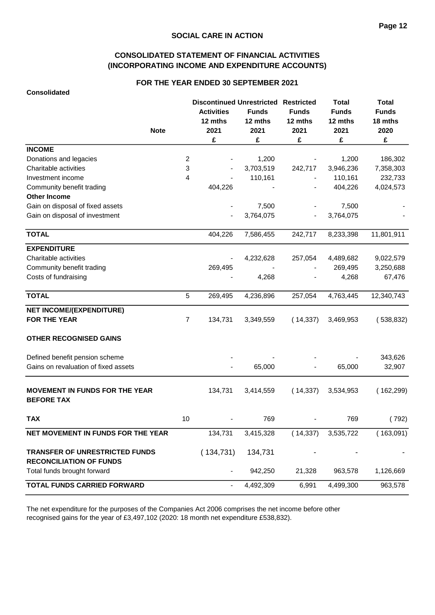# **CONSOLIDATED STATEMENT OF FINANCIAL ACTIVITIES (INCORPORATING INCOME AND EXPENDITURE ACCOUNTS)**

#### **FOR THE YEAR ENDED 30 SEPTEMBER 2021**

|                                                                  |                | <b>Discontinued Unrestricted Restricted</b> |              |              | <b>Total</b> | <b>Total</b> |
|------------------------------------------------------------------|----------------|---------------------------------------------|--------------|--------------|--------------|--------------|
|                                                                  |                | <b>Activities</b>                           | <b>Funds</b> | <b>Funds</b> | <b>Funds</b> | <b>Funds</b> |
|                                                                  |                | 12 mths                                     | 12 mths      | 12 mths      | 12 mths      | 18 mths      |
| <b>Note</b>                                                      |                | 2021                                        | 2021         | 2021         | 2021         | 2020         |
|                                                                  |                | £                                           | £            | £            | £            | £            |
| <b>INCOME</b>                                                    |                |                                             |              |              |              |              |
| Donations and legacies                                           | $\overline{c}$ |                                             | 1,200        |              | 1,200        | 186,302      |
| Charitable activities                                            | 3              |                                             | 3,703,519    | 242,717      | 3,946,236    | 7,358,303    |
| Investment income                                                | 4              |                                             | 110,161      |              | 110,161      | 232,733      |
| Community benefit trading                                        |                | 404,226                                     |              |              | 404,226      | 4,024,573    |
| <b>Other Income</b>                                              |                |                                             |              |              |              |              |
| Gain on disposal of fixed assets                                 |                |                                             | 7,500        |              | 7,500        |              |
| Gain on disposal of investment                                   |                |                                             | 3,764,075    |              | 3,764,075    |              |
| <b>TOTAL</b>                                                     |                | 404,226                                     | 7,586,455    | 242,717      | 8,233,398    | 11,801,911   |
| <b>EXPENDITURE</b>                                               |                |                                             |              |              |              |              |
| Charitable activities                                            |                |                                             | 4,232,628    | 257,054      | 4,489,682    | 9,022,579    |
| Community benefit trading                                        |                | 269,495                                     |              |              | 269,495      | 3,250,688    |
| Costs of fundraising                                             |                |                                             | 4,268        |              | 4,268        | 67,476       |
| <b>TOTAL</b>                                                     | 5              | 269,495                                     | 4,236,896    | 257,054      | 4,763,445    | 12,340,743   |
| <b>NET INCOME/(EXPENDITURE)</b>                                  |                |                                             |              |              |              |              |
| <b>FOR THE YEAR</b>                                              | $\overline{7}$ | 134,731                                     | 3,349,559    | (14, 337)    | 3,469,953    | (538, 832)   |
| <b>OTHER RECOGNISED GAINS</b>                                    |                |                                             |              |              |              |              |
| Defined benefit pension scheme                                   |                |                                             |              |              |              | 343,626      |
| Gains on revaluation of fixed assets                             |                |                                             | 65,000       |              | 65,000       | 32,907       |
| <b>MOVEMENT IN FUNDS FOR THE YEAR</b><br><b>BEFORE TAX</b>       |                | 134,731                                     | 3,414,559    | (14, 337)    | 3,534,953    | (162, 299)   |
| <b>TAX</b>                                                       | 10             |                                             | 769          |              | 769          | (792)        |
| NET MOVEMENT IN FUNDS FOR THE YEAR                               |                | 134,731                                     | 3,415,328    | (14, 337)    | 3,535,722    | (163,091)    |
| TRANSFER OF UNRESTRICTED FUNDS<br><b>RECONCILIATION OF FUNDS</b> |                | (134, 731)                                  | 134,731      |              |              |              |
| Total funds brought forward                                      |                |                                             | 942,250      | 21,328       | 963,578      | 1,126,669    |
| TOTAL FUNDS CARRIED FORWARD                                      |                | $\blacksquare$                              | 4,492,309    | 6,991        | 4,499,300    | 963,578      |

The net expenditure for the purposes of the Companies Act 2006 comprises the net income before other recognised gains for the year of £3,497,102 (2020: 18 month net expenditure £538,832).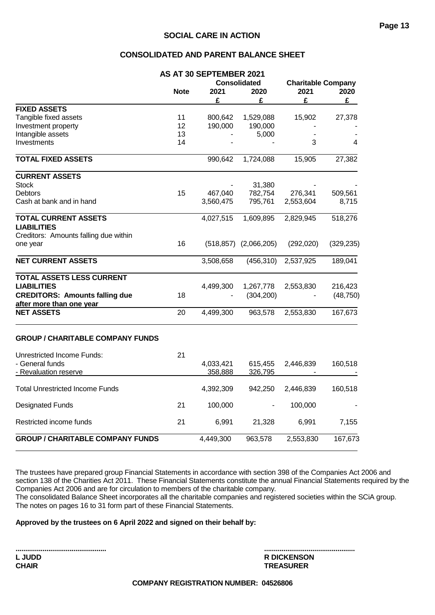#### **CONSOLIDATED AND PARENT BALANCE SHEET**

|                                         |                     | AS AT 30 SEPTEMBER 2021 |                              |                           |            |  |
|-----------------------------------------|---------------------|-------------------------|------------------------------|---------------------------|------------|--|
|                                         |                     |                         | <b>Consolidated</b>          | <b>Charitable Company</b> |            |  |
|                                         | 2021<br><b>Note</b> |                         | 2020                         | 2021                      | 2020       |  |
|                                         |                     | £                       | £                            | £                         | £          |  |
| <b>FIXED ASSETS</b>                     |                     |                         |                              |                           |            |  |
| Tangible fixed assets                   | 11                  | 800,642                 | 1,529,088                    | 15,902                    | 27,378     |  |
| Investment property                     | 12                  | 190,000                 | 190,000                      |                           |            |  |
| Intangible assets                       | 13                  |                         | 5,000                        |                           |            |  |
| Investments                             | 14                  |                         |                              | 3                         | 4          |  |
| <b>TOTAL FIXED ASSETS</b>               |                     | 990,642                 | 1,724,088                    | 15,905                    | 27,382     |  |
|                                         |                     |                         |                              |                           |            |  |
| <b>CURRENT ASSETS</b>                   |                     |                         |                              |                           |            |  |
| <b>Stock</b>                            |                     |                         | 31,380                       |                           |            |  |
| <b>Debtors</b>                          | 15                  | 467,040                 | 782,754                      | 276,341                   | 509,561    |  |
| Cash at bank and in hand                |                     | 3,560,475               | 795,761                      | 2,553,604                 | 8,715      |  |
| <b>TOTAL CURRENT ASSETS</b>             |                     | 4,027,515               | 1,609,895                    | 2,829,945                 | 518,276    |  |
| <b>LIABILITIES</b>                      |                     |                         |                              |                           |            |  |
| Creditors: Amounts falling due within   |                     |                         |                              |                           |            |  |
| one year                                | 16                  |                         | $(518, 857)$ $(2, 066, 205)$ | (292,020)                 | (329, 235) |  |
|                                         |                     |                         |                              |                           |            |  |
| <b>NET CURRENT ASSETS</b>               |                     | 3,508,658               | (456, 310)                   | 2,537,925                 | 189,041    |  |
| TOTAL ASSETS LESS CURRENT               |                     |                         |                              |                           |            |  |
| <b>LIABILITIES</b>                      |                     | 4,499,300               | 1,267,778                    | 2,553,830                 | 216,423    |  |
| <b>CREDITORS: Amounts falling due</b>   | 18                  |                         | (304, 200)                   |                           | (48, 750)  |  |
| after more than one year                |                     |                         |                              |                           |            |  |
| <b>NET ASSETS</b>                       | 20                  | 4,499,300               | 963,578                      | 2,553,830                 | 167,673    |  |
| <b>GROUP / CHARITABLE COMPANY FUNDS</b> |                     |                         |                              |                           |            |  |
|                                         |                     |                         |                              |                           |            |  |
| <b>Unrestricted Income Funds:</b>       | 21                  |                         |                              |                           |            |  |
| - General funds                         |                     | 4,033,421               | 615,455                      | 2,446,839                 | 160,518    |  |
| - Revaluation reserve                   |                     | 358,888                 | 326,795                      |                           |            |  |
| <b>Total Unrestricted Income Funds</b>  |                     | 4,392,309               | 942,250                      | 2,446,839                 | 160,518    |  |
| <b>Designated Funds</b>                 | 21                  | 100,000                 |                              | 100,000                   |            |  |
| Restricted income funds                 | 21                  | 6,991                   | 21,328                       | 6,991                     | 7,155      |  |
| <b>GROUP / CHARITABLE COMPANY FUNDS</b> |                     | 4,449,300               | 963,578                      | 2,553,830                 | 167,673    |  |
|                                         |                     |                         |                              |                           |            |  |

The trustees have prepared group Financial Statements in accordance with section 398 of the Companies Act 2006 and section 138 of the Charities Act 2011. These Financial Statements constitute the annual Financial Statements required by the Companies Act 2006 and are for circulation to members of the charitable company.

The consolidated Balance Sheet incorporates all the charitable companies and registered societies within the SCiA group. The notes on pages 16 to 31 form part of these Financial Statements.

#### **Approved by the trustees on 6 April 2022 and signed on their behalf by:**

**CHAIR TREASURER**

**............................................... ............................................... L JUDD R DICKENSON**

**Page 13**

#### **COMPANY REGISTRATION NUMBER: 04526806**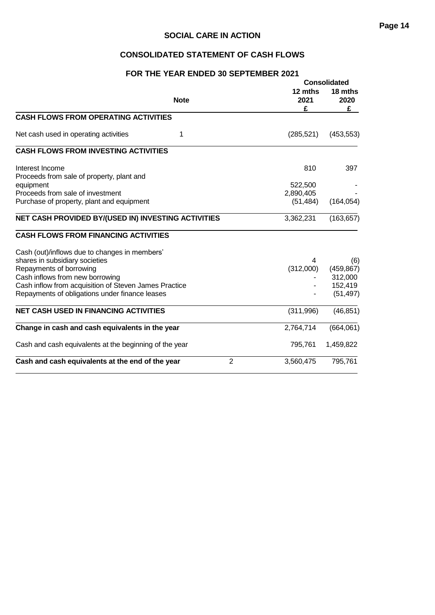# **CONSOLIDATED STATEMENT OF CASH FLOWS**

#### **FOR THE YEAR ENDED 30 SEPTEMBER 2021**

|                                                        |                |                      | <b>Consolidated</b>  |  |
|--------------------------------------------------------|----------------|----------------------|----------------------|--|
| <b>Note</b>                                            |                | 12 mths<br>2021<br>£ | 18 mths<br>2020<br>£ |  |
| <b>CASH FLOWS FROM OPERATING ACTIVITIES</b>            |                |                      |                      |  |
| Net cash used in operating activities<br>1             |                | (285, 521)           | (453, 553)           |  |
| <b>CASH FLOWS FROM INVESTING ACTIVITIES</b>            |                |                      |                      |  |
| Interest Income                                        |                | 810                  | 397                  |  |
| Proceeds from sale of property, plant and              |                |                      |                      |  |
| equipment                                              |                | 522,500              |                      |  |
| Proceeds from sale of investment                       |                | 2,890,405            |                      |  |
| Purchase of property, plant and equipment              |                | (51, 484)            | (164, 054)           |  |
| NET CASH PROVIDED BY/(USED IN) INVESTING ACTIVITIES    |                | 3,362,231            | (163, 657)           |  |
| <b>CASH FLOWS FROM FINANCING ACTIVITIES</b>            |                |                      |                      |  |
| Cash (out)/inflows due to changes in members'          |                |                      |                      |  |
| shares in subsidiary societies                         |                | 4                    | (6)                  |  |
| Repayments of borrowing                                |                | (312,000)            | (459, 867)           |  |
| Cash inflows from new borrowing                        |                |                      | 312,000              |  |
| Cash inflow from acquisition of Steven James Practice  |                |                      | 152,419              |  |
| Repayments of obligations under finance leases         |                |                      | (51, 497)            |  |
| <b>NET CASH USED IN FINANCING ACTIVITIES</b>           |                | (311,996)            | (46, 851)            |  |
| Change in cash and cash equivalents in the year        |                | 2,764,714            | (664, 061)           |  |
| Cash and cash equivalents at the beginning of the year |                | 795,761              | 1,459,822            |  |
| Cash and cash equivalents at the end of the year       | $\overline{2}$ | 3,560,475            | 795,761              |  |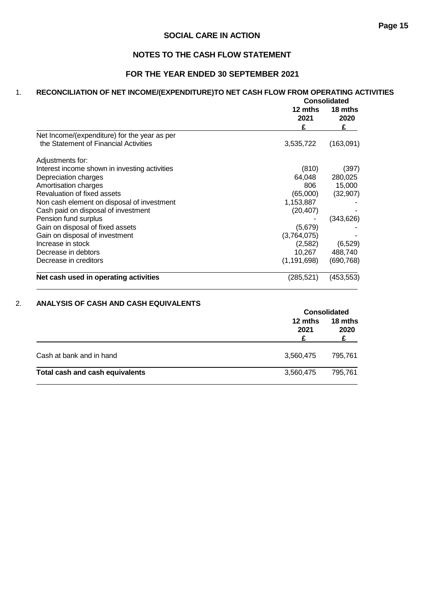# **NOTES TO THE CASH FLOW STATEMENT**

# **FOR THE YEAR ENDED 30 SEPTEMBER 2021**

# 1. **RECONCILIATION OF NET INCOME/(EXPENDITURE)TO NET CASH FLOW FROM OPERATING ACTIVITIES**

|                                               | <b>Consolidated</b>  |                      |  |
|-----------------------------------------------|----------------------|----------------------|--|
|                                               | 12 mths<br>2021<br>£ | 18 mths<br>2020<br>£ |  |
| Net Income/(expenditure) for the year as per  |                      |                      |  |
| the Statement of Financial Activities         | 3,535,722            | (163,091)            |  |
| Adjustments for:                              |                      |                      |  |
| Interest income shown in investing activities | (810)                | (397)                |  |
| Depreciation charges                          | 64,048               | 280,025              |  |
| Amortisation charges                          | 806                  | 15,000               |  |
| Revaluation of fixed assets                   | (65,000)             | (32, 907)            |  |
| Non cash element on disposal of investment    | 1,153,887            |                      |  |
| Cash paid on disposal of investment           | (20, 407)            |                      |  |
| Pension fund surplus                          |                      | (343,626)            |  |
| Gain on disposal of fixed assets              | (5,679)              |                      |  |
| Gain on disposal of investment                | (3,764,075)          |                      |  |
| Increase in stock                             | (2,582)              | (6, 529)             |  |
| Decrease in debtors                           | 10,267               | 488,740              |  |
| Decrease in creditors                         | (1, 191, 698)        | (690, 768)           |  |
| Net cash used in operating activities         | (285,521)            | (453,553)            |  |

#### 2. **ANALYSIS OF CASH AND CASH EQUIVALENTS**

|                                 |                 | <b>Consolidated</b> |
|---------------------------------|-----------------|---------------------|
|                                 | 12 mths<br>2021 | 18 mths<br>2020     |
| Cash at bank and in hand        | 3,560,475       | 795.761             |
| Total cash and cash equivalents | 3,560,475       | 795.761             |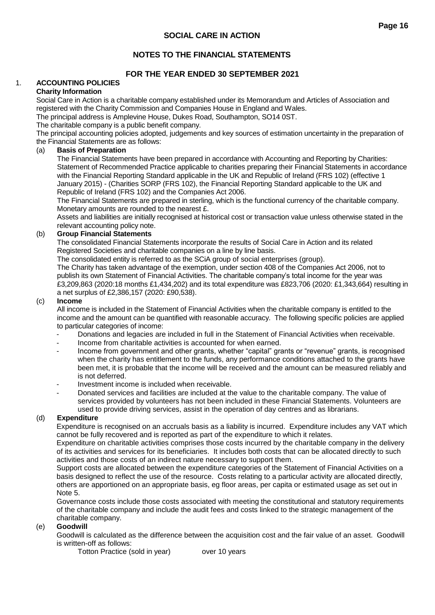# **NOTES TO THE FINANCIAL STATEMENTS**

# **FOR THE YEAR ENDED 30 SEPTEMBER 2021**

# 1. **ACCOUNTING POLICIES**

#### **Charity Information**

Social Care in Action is a charitable company established under its Memorandum and Articles of Association and registered with the Charity Commission and Companies House in England and Wales.

The principal address is Amplevine House, Dukes Road, Southampton, SO14 0ST.

The charitable company is a public benefit company.

The principal accounting policies adopted, judgements and key sources of estimation uncertainty in the preparation of the Financial Statements are as follows:

#### (a) **Basis of Preparation**

The Financial Statements have been prepared in accordance with Accounting and Reporting by Charities: Statement of Recommended Practice applicable to charities preparing their Financial Statements in accordance with the Financial Reporting Standard applicable in the UK and Republic of Ireland (FRS 102) (effective 1 January 2015) - (Charities SORP (FRS 102), the Financial Reporting Standard applicable to the UK and Republic of Ireland (FRS 102) and the Companies Act 2006.

The Financial Statements are prepared in sterling, which is the functional currency of the charitable company. Monetary amounts are rounded to the nearest £.

Assets and liabilities are initially recognised at historical cost or transaction value unless otherwise stated in the relevant accounting policy note.

#### (b) **Group Financial Statements**

The consolidated Financial Statements incorporate the results of Social Care in Action and its related Registered Societies and charitable companies on a line by line basis.

The consolidated entity is referred to as the SCiA group of social enterprises (group).

The Charity has taken advantage of the exemption, under section 408 of the Companies Act 2006, not to publish its own Statement of Financial Activities. The charitable company's total income for the year was £3,209,863 (2020:18 months £1,434,202) and its total expenditure was £823,706 (2020: £1,343,664) resulting in a net surplus of £2,386,157 (2020: £90,538).

#### (c) **Income**

All income is included in the Statement of Financial Activities when the charitable company is entitled to the income and the amount can be quantified with reasonable accuracy. The following specific policies are applied to particular categories of income:

- Donations and legacies are included in full in the Statement of Financial Activities when receivable.
- Income from charitable activities is accounted for when earned.
- Income from government and other grants, whether "capital" grants or "revenue" grants, is recognised when the charity has entitlement to the funds, any performance conditions attached to the grants have been met, it is probable that the income will be received and the amount can be measured reliably and is not deferred.
- Investment income is included when receivable.
- Donated services and facilities are included at the value to the charitable company. The value of services provided by volunteers has not been included in these Financial Statements. Volunteers are used to provide driving services, assist in the operation of day centres and as librarians.

#### (d) **Expenditure**

Expenditure is recognised on an accruals basis as a liability is incurred. Expenditure includes any VAT which cannot be fully recovered and is reported as part of the expenditure to which it relates.

Expenditure on charitable activities comprises those costs incurred by the charitable company in the delivery of its activities and services for its beneficiaries. It includes both costs that can be allocated directly to such activities and those costs of an indirect nature necessary to support them.

Support costs are allocated between the expenditure categories of the Statement of Financial Activities on a basis designed to reflect the use of the resource. Costs relating to a particular activity are allocated directly, others are apportioned on an appropriate basis, eg floor areas, per capita or estimated usage as set out in Note 5.

Governance costs include those costs associated with meeting the constitutional and statutory requirements of the charitable company and include the audit fees and costs linked to the strategic management of the charitable company.

#### (e) **Goodwill**

Goodwill is calculated as the difference between the acquisition cost and the fair value of an asset. Goodwill is written-off as follows:

Totton Practice (sold in year) over 10 years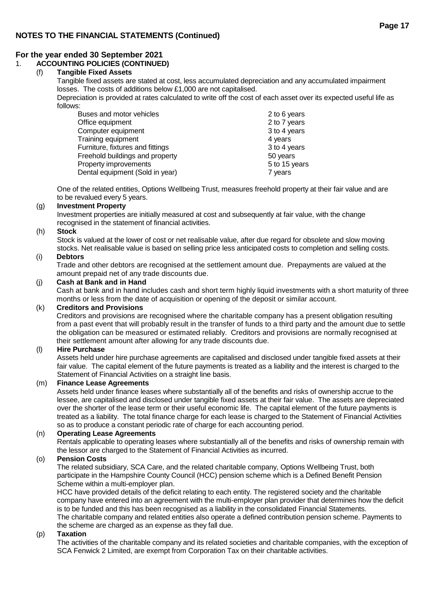# 1. **ACCOUNTING POLICIES (CONTINUED)**

# (f) **Tangible Fixed Assets**

Tangible fixed assets are stated at cost, less accumulated depreciation and any accumulated impairment losses. The costs of additions below £1,000 are not capitalised.

Depreciation is provided at rates calculated to write off the cost of each asset over its expected useful life as follows:

| Buses and motor vehicles         | 2 to 6 years  |
|----------------------------------|---------------|
| Office equipment                 | 2 to 7 years  |
| Computer equipment               | 3 to 4 years  |
| Training equipment               | 4 years       |
| Furniture, fixtures and fittings | 3 to 4 years  |
| Freehold buildings and property  | 50 years      |
| Property improvements            | 5 to 15 years |
| Dental equipment (Sold in year)  | 7 years       |

One of the related entities, Options Wellbeing Trust, measures freehold property at their fair value and are to be revalued every 5 years.

#### (g) **Investment Property**

Investment properties are initially measured at cost and subsequently at fair value, with the change recognised in the statement of financial activities.

#### (h) **Stock**

Stock is valued at the lower of cost or net realisable value, after due regard for obsolete and slow moving stocks. Net realisable value is based on selling price less anticipated costs to completion and selling costs.

#### (i) **Debtors**

Trade and other debtors are recognised at the settlement amount due. Prepayments are valued at the amount prepaid net of any trade discounts due.

#### (j) **Cash at Bank and in Hand**

Cash at bank and in hand includes cash and short term highly liquid investments with a short maturity of three months or less from the date of acquisition or opening of the deposit or similar account.

#### (k) **Creditors and Provisions**

Creditors and provisions are recognised where the charitable company has a present obligation resulting from a past event that will probably result in the transfer of funds to a third party and the amount due to settle the obligation can be measured or estimated reliably. Creditors and provisions are normally recognised at their settlement amount after allowing for any trade discounts due.

#### (l) **Hire Purchase**

Assets held under hire purchase agreements are capitalised and disclosed under tangible fixed assets at their fair value. The capital element of the future payments is treated as a liability and the interest is charged to the Statement of Financial Activities on a straight line basis.

#### (m) **Finance Lease Agreements**

Assets held under finance leases where substantially all of the benefits and risks of ownership accrue to the lessee, are capitalised and disclosed under tangible fixed assets at their fair value. The assets are depreciated over the shorter of the lease term or their useful economic life. The capital element of the future payments is treated as a liability. The total finance charge for each lease is charged to the Statement of Financial Activities so as to produce a constant periodic rate of charge for each accounting period.

#### (n) **Operating Lease Agreements**

Rentals applicable to operating leases where substantially all of the benefits and risks of ownership remain with the lessor are charged to the Statement of Financial Activities as incurred.

#### (o) **Pension Costs**

The related subsidiary, SCA Care, and the related charitable company, Options Wellbeing Trust, both participate in the Hampshire County Council (HCC) pension scheme which is a Defined Benefit Pension Scheme within a multi-employer plan.

HCC have provided details of the deficit relating to each entity. The registered society and the charitable company have entered into an agreement with the multi-employer plan provider that determines how the deficit is to be funded and this has been recognised as a liability in the consolidated Financial Statements. The charitable company and related entities also operate a defined contribution pension scheme. Payments to the scheme are charged as an expense as they fall due.

#### (p) **Taxation**

The activities of the charitable company and its related societies and charitable companies, with the exception of SCA Fenwick 2 Limited, are exempt from Corporation Tax on their charitable activities.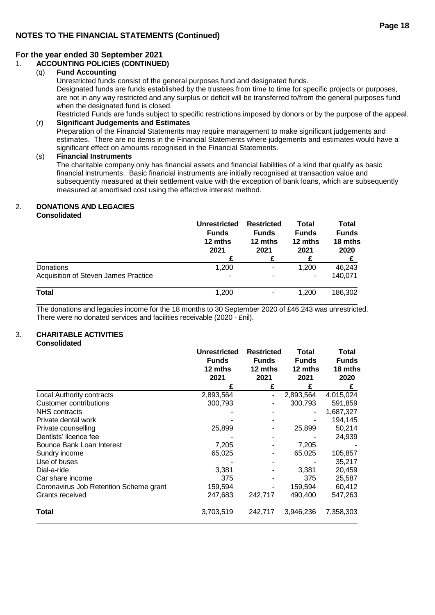## 1. **ACCOUNTING POLICIES (CONTINUED)**

#### (q) **Fund Accounting**

Unrestricted funds consist of the general purposes fund and designated funds.

Designated funds are funds established by the trustees from time to time for specific projects or purposes, are not in any way restricted and any surplus or deficit will be transferred to/from the general purposes fund when the designated fund is closed.

Restricted Funds are funds subject to specific restrictions imposed by donors or by the purpose of the appeal. (r) **Significant Judgements and Estimates**

Preparation of the Financial Statements may require management to make significant judgements and estimates. There are no items in the Financial Statements where judgements and estimates would have a significant effect on amounts recognised in the Financial Statements.

#### (s) **Financial Instruments**

The charitable company only has financial assets and financial liabilities of a kind that qualify as basic financial instruments. Basic financial instruments are initially recognised at transaction value and subsequently measured at their settlement value with the exception of bank loans, which are subsequently measured at amortised cost using the effective interest method.

# 2. **DONATIONS AND LEGACIES**

**Consolidated**

|                                             | <b>Unrestricted</b><br><b>Funds</b><br>12 mths<br>2021 | <b>Restricted</b><br><b>Funds</b><br>12 mths<br>2021 | Total<br><b>Funds</b><br>12 mths<br>2021 | Total<br><b>Funds</b><br>18 mths<br>2020 |
|---------------------------------------------|--------------------------------------------------------|------------------------------------------------------|------------------------------------------|------------------------------------------|
|                                             |                                                        | £                                                    | £                                        |                                          |
| Donations                                   | 1,200                                                  | $\overline{\phantom{a}}$                             | 1,200                                    | 46,243                                   |
| <b>Acquisition of Steven James Practice</b> | $\overline{\phantom{a}}$                               | ٠                                                    |                                          | 140,071                                  |
| Total                                       | 1,200                                                  | -                                                    | 1.200                                    | 186,302                                  |

The donations and legacies income for the 18 months to 30 September 2020 of £46,243 was unrestricted. There were no donated services and facilities receivable (2020 - £nil).

#### 3. **CHARITABLE ACTIVITIES Consolidated**

|                                        | <b>Unrestricted</b><br><b>Funds</b><br>12 mths<br>2021 | <b>Restricted</b><br><b>Funds</b><br>12 mths<br>2021 | Total<br><b>Funds</b><br>12 mths<br>2021 | Total<br><b>Funds</b><br>18 mths<br>2020 |
|----------------------------------------|--------------------------------------------------------|------------------------------------------------------|------------------------------------------|------------------------------------------|
|                                        | £                                                      | £                                                    | £                                        | £                                        |
| <b>Local Authority contracts</b>       | 2,893,564                                              |                                                      | 2,893,564                                | 4,015,024                                |
| Customer contributions                 | 300,793                                                |                                                      | 300,793                                  | 591,859                                  |
| NHS contracts                          |                                                        |                                                      |                                          | 1,687,327                                |
| Private dental work                    |                                                        |                                                      |                                          | 194,145                                  |
| Private counselling                    | 25,899                                                 |                                                      | 25,899                                   | 50,214                                   |
| Dentists' licence fee                  |                                                        |                                                      |                                          | 24,939                                   |
| Bounce Bank Loan Interest              | 7,205                                                  |                                                      | 7,205                                    |                                          |
| Sundry income                          | 65,025                                                 |                                                      | 65,025                                   | 105,857                                  |
| Use of buses                           |                                                        |                                                      |                                          | 35,217                                   |
| Dial-a-ride                            | 3,381                                                  |                                                      | 3,381                                    | 20,459                                   |
| Car share income                       | 375                                                    |                                                      | 375                                      | 25,587                                   |
| Coronavirus Job Retention Scheme grant | 159,594                                                |                                                      | 159,594                                  | 60,412                                   |
| Grants received                        | 247,683                                                | 242,717                                              | 490,400                                  | 547,263                                  |
| Total                                  | 3,703,519                                              | 242,717                                              | 3,946,236                                | 7,358,303                                |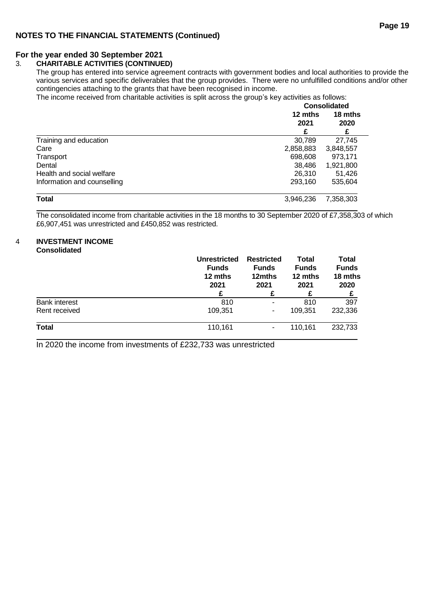#### **For the year ended 30 September 2021**

#### 3. **CHARITABLE ACTIVITIES (CONTINUED)**

The group has entered into service agreement contracts with government bodies and local authorities to provide the various services and specific deliverables that the group provides. There were no unfulfilled conditions and/or other contingencies attaching to the grants that have been recognised in income.

The income received from charitable activities is split across the group's key activities as follows: **Consolidated**

|                             | Consolidated |           |  |  |
|-----------------------------|--------------|-----------|--|--|
|                             | 12 mths      | 18 mths   |  |  |
|                             | 2021         | 2020      |  |  |
|                             | F            |           |  |  |
| Training and education      | 30,789       | 27,745    |  |  |
| Care                        | 2,858,883    | 3,848,557 |  |  |
| Transport                   | 698,608      | 973.171   |  |  |
| Dental                      | 38.486       | 1,921,800 |  |  |
| Health and social welfare   | 26.310       | 51.426    |  |  |
| Information and counselling | 293,160      | 535,604   |  |  |
| <b>Total</b>                | 3,946,236    | 7,358,303 |  |  |

The consolidated income from charitable activities in the 18 months to 30 September 2020 of £7,358,303 of which £6,907,451 was unrestricted and £450,852 was restricted.

#### 4 **INVESTMENT INCOME Consolidated**

|                      | <b>Unrestricted</b><br><b>Funds</b><br>12 mths<br>2021<br>£ | <b>Restricted</b><br><b>Funds</b><br>12mths<br>2021 | <b>Total</b><br><b>Funds</b><br>12 mths<br>2021 | Total<br><b>Funds</b><br>18 mths<br>2020 |
|----------------------|-------------------------------------------------------------|-----------------------------------------------------|-------------------------------------------------|------------------------------------------|
| <b>Bank interest</b> | 810                                                         |                                                     | 810                                             | 397                                      |
| Rent received        | 109,351                                                     | ۰.                                                  | 109.351                                         | 232,336                                  |
| <b>Total</b>         | 110,161                                                     |                                                     | 110,161                                         | 232,733                                  |

In 2020 the income from investments of £232,733 was unrestricted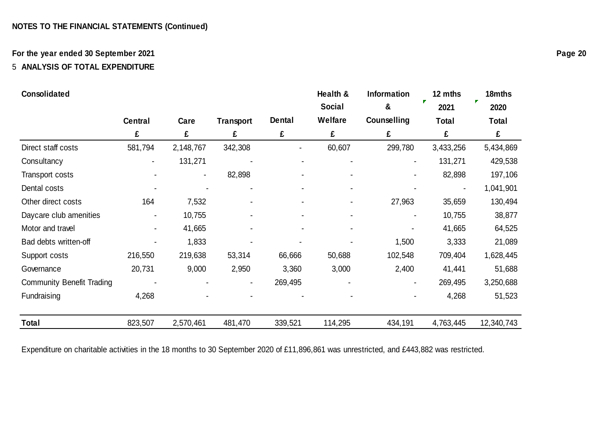# **For the year ended 30 September 2021**

# 5 **ANALYSIS OF TOTAL EXPENDITURE**

| Consolidated                     |                |           |                  |               | Health &       | <b>Information</b> | 12 mths   | 18mths     |
|----------------------------------|----------------|-----------|------------------|---------------|----------------|--------------------|-----------|------------|
|                                  |                |           |                  |               | <b>Social</b>  | &                  | 2021      | 2020       |
|                                  | <b>Central</b> | Care      | <b>Transport</b> | <b>Dental</b> | <b>Welfare</b> | Counselling        | Total     | Total      |
|                                  | £              | £         | £                | £             | £              | £                  | £         | £          |
| Direct staff costs               | 581,794        | 2,148,767 | 342,308          |               | 60,607         | 299,780            | 3,433,256 | 5,434,869  |
| Consultancy                      |                | 131,271   |                  |               |                |                    | 131,271   | 429,538    |
| Transport costs                  |                |           | 82,898           |               |                |                    | 82,898    | 197,106    |
| Dental costs                     |                |           | $\blacksquare$   |               | $\blacksquare$ |                    | ۰         | 1,041,901  |
| Other direct costs               | 164            | 7,532     | $\blacksquare$   |               | $\blacksquare$ | 27,963             | 35,659    | 130,494    |
| Daycare club amenities           |                | 10,755    |                  |               | $\blacksquare$ |                    | 10,755    | 38,877     |
| Motor and travel                 |                | 41,665    |                  |               |                |                    | 41,665    | 64,525     |
| Bad debts written-off            |                | 1,833     |                  |               |                | 1,500              | 3,333     | 21,089     |
| Support costs                    | 216,550        | 219,638   | 53,314           | 66,666        | 50,688         | 102,548            | 709,404   | 1,628,445  |
| Governance                       | 20,731         | 9,000     | 2,950            | 3,360         | 3,000          | 2,400              | 41,441    | 51,688     |
| <b>Community Benefit Trading</b> |                |           |                  | 269,495       |                |                    | 269,495   | 3,250,688  |
| Fundraising                      | 4,268          |           |                  |               |                |                    | 4,268     | 51,523     |
| Total                            | 823,507        | 2,570,461 | 481,470          | 339,521       | 114,295        | 434,191            | 4,763,445 | 12,340,743 |

Expenditure on charitable activities in the 18 months to 30 September 2020 of £11,896,861 was unrestricted, and £443,882 was restricted.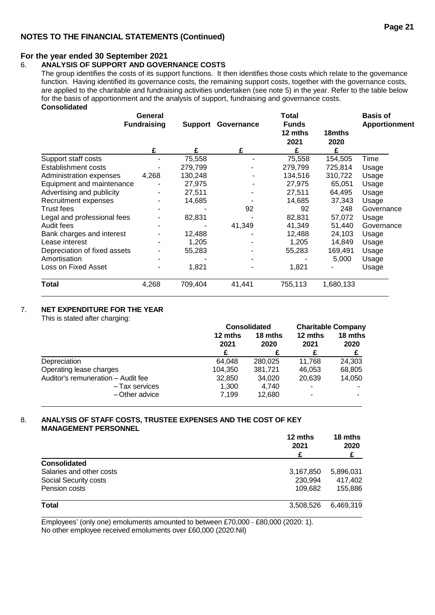#### **For the year ended 30 September 2021**

#### 6. **ANALYSIS OF SUPPORT AND GOVERNANCE COSTS**

The group identifies the costs of its support functions. It then identifies those costs which relate to the governance function. Having identified its governance costs, the remaining support costs, together with the governance costs, are applied to the charitable and fundraising activities undertaken (see note 5) in the year. Refer to the table below for the basis of apportionment and the analysis of support, fundraising and governance costs. **Consolidated**

|                              | General<br><b>Fundraising</b> |         | <b>Support Governance</b> | Total<br><b>Funds</b><br>12 mths<br>2021 | 18mths<br>2020 | <b>Basis of</b><br>Apportionment |
|------------------------------|-------------------------------|---------|---------------------------|------------------------------------------|----------------|----------------------------------|
|                              | £                             | £       | £                         | £                                        | £              |                                  |
| Support staff costs          |                               | 75,558  |                           | 75,558                                   | 154,505        | Time                             |
| <b>Establishment costs</b>   |                               | 279,799 |                           | 279,799                                  | 725,814        | Usage                            |
| Administration expenses      | 4,268                         | 130,248 |                           | 134,516                                  | 310,722        | Usage                            |
| Equipment and maintenance    |                               | 27,975  |                           | 27,975                                   | 65,051         | Usage                            |
| Advertising and publicity    |                               | 27,511  |                           | 27,511                                   | 64,495         | Usage                            |
| Recruitment expenses         |                               | 14,685  |                           | 14,685                                   | 37,343         | Usage                            |
| Trust fees                   |                               |         | 92                        | 92                                       | 248            | Governance                       |
| Legal and professional fees  |                               | 82,831  |                           | 82,831                                   | 57,072         | Usage                            |
| Audit fees                   |                               |         | 41,349                    | 41,349                                   | 51,440         | Governance                       |
| Bank charges and interest    |                               | 12,488  |                           | 12,488                                   | 24,103         | Usage                            |
| Lease interest               |                               | 1,205   |                           | 1,205                                    | 14,849         | Usage                            |
| Depreciation of fixed assets |                               | 55,283  |                           | 55,283                                   | 169,491        | Usage                            |
| Amortisation                 |                               |         |                           |                                          | 5,000          | Usage                            |
| Loss on Fixed Asset          |                               | 1,821   | ۰                         | 1,821                                    |                | Usage                            |
| <b>Total</b>                 | 4,268                         | 709,404 | 41,441                    | 755,113                                  | 1,680,133      |                                  |

#### 7. **NET EXPENDITURE FOR THE YEAR**

This is stated after charging:

|                                    |                 | <b>Consolidated</b> | <b>Charitable Company</b> |                 |
|------------------------------------|-----------------|---------------------|---------------------------|-----------------|
|                                    | 12 mths<br>2021 | 18 mths<br>2020     | 12 mths<br>2021           | 18 mths<br>2020 |
| Depreciation                       | 64.048          | 280.025             | 11.768                    | 24,303          |
| Operating lease charges            | 104,350         | 381.721             | 46,053                    | 68,805          |
| Auditor's remuneration - Audit fee | 32,850          | 34,020              | 20,639                    | 14,050          |
| - Tax services                     | 1,300           | 4.740               | $\overline{\phantom{a}}$  |                 |
| -Other advice                      | 7.199           | 12,680              | -                         |                 |

#### 8. **ANALYSIS OF STAFF COSTS, TRUSTEE EXPENSES AND THE COST OF KEY MANAGEMENT PERSONNEL**

|                          | 12 mths<br>2021<br>£ | 18 mths<br>2020<br>£ |
|--------------------------|----------------------|----------------------|
| <b>Consolidated</b>      |                      |                      |
| Salaries and other costs | 3,167,850            | 5,896,031            |
| Social Security costs    | 230,994              | 417,402              |
| Pension costs            | 109,682              | 155,886              |
| <b>Total</b>             | 3,508,526            | 6.469.319            |

Employees' (only one) emoluments amounted to between £70,000 - £80,000 (2020: 1). No other employee received emoluments over £60,000 (2020:Nil)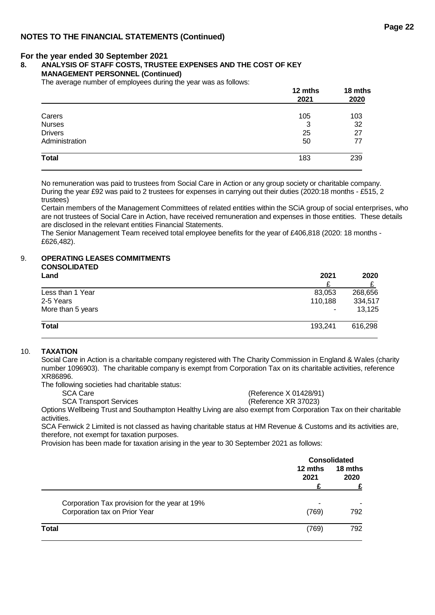#### **8. ANALYSIS OF STAFF COSTS, TRUSTEE EXPENSES AND THE COST OF KEY**

#### **MANAGEMENT PERSONNEL (Continued)**

The average number of employees during the year was as follows:

| The average number of employees during the year was as follows. | 12 mths<br>2021 | 18 mths<br>2020 |
|-----------------------------------------------------------------|-----------------|-----------------|
| Carers                                                          | 105             | 103             |
| <b>Nurses</b>                                                   | 3               | 32              |
| <b>Drivers</b>                                                  | 25              | 27              |
| Administration                                                  | 50              | 77              |
| Total                                                           | 183             | 239             |
|                                                                 |                 |                 |

No remuneration was paid to trustees from Social Care in Action or any group society or charitable company. During the year £92 was paid to 2 trustees for expenses in carrying out their duties (2020:18 months - £515, 2 trustees)

Certain members of the Management Committees of related entities within the SCiA group of social enterprises, who are not trustees of Social Care in Action, have received remuneration and expenses in those entities. These details are disclosed in the relevant entities Financial Statements.

The Senior Management Team received total employee benefits for the year of £406,818 (2020: 18 months - £626,482).

# 9. **OPERATING LEASES COMMITMENTS**

| <b>CONSOLIDATED</b><br>Land | 2021    | 2020    |
|-----------------------------|---------|---------|
| Less than 1 Year            | 83,053  | 268,656 |
| 2-5 Years                   | 110,188 | 334,517 |
| More than 5 years           |         | 13,125  |
| <b>Total</b>                | 193,241 | 616,298 |

#### 10. **TAXATION**

Social Care in Action is a charitable company registered with The Charity Commission in England & Wales (charity number 1096903). The charitable company is exempt from Corporation Tax on its charitable activities, reference XR86896.

The following societies had charitable status:

SCA Care (Reference X 01428/91)

SCA Transport Services (Reference XR 37023)

Options Wellbeing Trust and Southampton Healthy Living are also exempt from Corporation Tax on their charitable activities.

SCA Fenwick 2 Limited is not classed as having charitable status at HM Revenue & Customs and its activities are, therefore, not exempt for taxation purposes.

Provision has been made for taxation arising in the year to 30 September 2021 as follows:

|                                               |                 | <b>Consolidated</b> |
|-----------------------------------------------|-----------------|---------------------|
|                                               | 12 mths<br>2021 | 18 mths<br>2020     |
|                                               |                 |                     |
| Corporation Tax provision for the year at 19% | ۰               |                     |
| Corporation tax on Prior Year                 | (769)           | 792                 |
| <b>Total</b>                                  | (769)           | 792                 |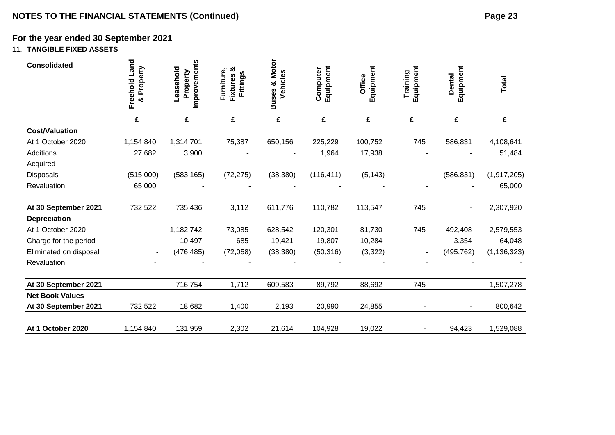# 11. **TANGIBLE FIXED ASSETS**

| <b>Consolidated</b>    | Freehold Land<br>& Property | Improvements<br>Leasehold<br>Property | ఱ<br>Furniture,<br>Fittings<br><b>Fixtures</b> | <b>Motor</b><br>Vehicles<br>ೲ<br><b>Buses</b> | Equipment<br>Computer | Equipment<br>Office | Equipment<br>Training | Equipment<br><b>Dental</b> | Total         |
|------------------------|-----------------------------|---------------------------------------|------------------------------------------------|-----------------------------------------------|-----------------------|---------------------|-----------------------|----------------------------|---------------|
|                        | £                           | £                                     | £                                              | £                                             | £                     | £                   | £                     | £                          | £             |
| <b>Cost/Valuation</b>  |                             |                                       |                                                |                                               |                       |                     |                       |                            |               |
| At 1 October 2020      | 1,154,840                   | 1,314,701                             | 75,387                                         | 650,156                                       | 225,229               | 100,752             | 745                   | 586,831                    | 4,108,641     |
| Additions              | 27,682                      | 3,900                                 |                                                |                                               | 1,964                 | 17,938              |                       |                            | 51,484        |
| Acquired               |                             |                                       |                                                |                                               |                       |                     |                       |                            |               |
| Disposals              | (515,000)                   | (583, 165)                            | (72, 275)                                      | (38, 380)                                     | (116, 411)            | (5, 143)            |                       | (586, 831)                 | (1,917,205)   |
| Revaluation            | 65,000                      |                                       |                                                |                                               |                       |                     |                       |                            | 65,000        |
| At 30 September 2021   | 732,522                     | 735,436                               | 3,112                                          | 611,776                                       | 110,782               | 113,547             | 745                   | $\blacksquare$             | 2,307,920     |
| Depreciation           |                             |                                       |                                                |                                               |                       |                     |                       |                            |               |
| At 1 October 2020      | $\blacksquare$              | 1,182,742                             | 73,085                                         | 628,542                                       | 120,301               | 81,730              | 745                   | 492,408                    | 2,579,553     |
| Charge for the period  |                             | 10,497                                | 685                                            | 19,421                                        | 19,807                | 10,284              |                       | 3,354                      | 64,048        |
| Eliminated on disposal |                             | (476, 485)                            | (72,058)                                       | (38, 380)                                     | (50, 316)             | (3, 322)            |                       | (495, 762)                 | (1, 136, 323) |
| Revaluation            |                             |                                       |                                                |                                               |                       |                     |                       |                            |               |
| At 30 September 2021   |                             | 716,754                               | 1,712                                          | 609,583                                       | 89,792                | 88,692              | 745                   | $\overline{\phantom{a}}$   | 1,507,278     |
| <b>Net Book Values</b> |                             |                                       |                                                |                                               |                       |                     |                       |                            |               |
| At 30 September 2021   | 732,522                     | 18,682                                | 1,400                                          | 2,193                                         | 20,990                | 24,855              |                       |                            | 800,642       |
| At 1 October 2020      | 1,154,840                   | 131,959                               | 2,302                                          | 21,614                                        | 104,928               | 19,022              |                       | 94,423                     | 1,529,088     |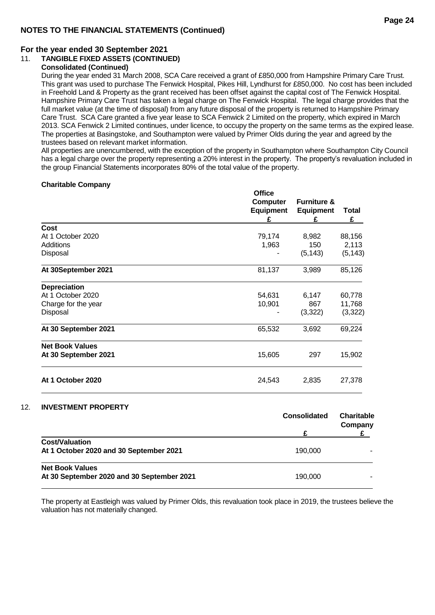#### **For the year ended 30 September 2021**

#### 11. **TANGIBLE FIXED ASSETS (CONTINUED)**

#### **Consolidated (Continued)**

During the year ended 31 March 2008, SCA Care received a grant of £850,000 from Hampshire Primary Care Trust. This grant was used to purchase The Fenwick Hospital, Pikes Hill, Lyndhurst for £850,000. No cost has been included in Freehold Land & Property as the grant received has been offset against the capital cost of The Fenwick Hospital. Hampshire Primary Care Trust has taken a legal charge on The Fenwick Hospital. The legal charge provides that the full market value (at the time of disposal) from any future disposal of the property is returned to Hampshire Primary Care Trust. SCA Care granted a five year lease to SCA Fenwick 2 Limited on the property, which expired in March 2013. SCA Fenwick 2 Limited continues, under licence, to occupy the property on the same terms as the expired lease. The properties at Basingstoke, and Southampton were valued by Primer Olds during the year and agreed by the trustees based on relevant market information.

All properties are unencumbered, with the exception of the property in Southampton where Southampton City Council has a legal charge over the property representing a 20% interest in the property. The property's revaluation included in the group Financial Statements incorporates 80% of the total value of the property.

#### **Charitable Company**

|                        | <b>Office</b><br>Computer<br>Equipment<br>£ | <b>Furniture &amp;</b><br><b>Equipment</b><br>£ | Total<br>£ |
|------------------------|---------------------------------------------|-------------------------------------------------|------------|
| <b>Cost</b>            |                                             |                                                 |            |
| At 1 October 2020      | 79,174                                      | 8,982                                           | 88,156     |
| Additions              | 1,963                                       | 150                                             | 2,113      |
| Disposal               |                                             | (5, 143)                                        | (5, 143)   |
| At 30September 2021    | 81,137                                      | 3,989                                           | 85,126     |
| <b>Depreciation</b>    |                                             |                                                 |            |
| At 1 October 2020      | 54,631                                      | 6,147                                           | 60,778     |
| Charge for the year    | 10,901                                      | 867                                             | 11,768     |
| Disposal               |                                             | (3,322)                                         | (3,322)    |
| At 30 September 2021   | 65,532                                      | 3,692                                           | 69,224     |
| <b>Net Book Values</b> |                                             |                                                 |            |
| At 30 September 2021   | 15,605                                      | 297                                             | 15,902     |
| At 1 October 2020      | 24,543                                      | 2,835                                           | 27,378     |

#### 12. **INVESTMENT PROPERTY**

|                                            | <b>Consolidated</b> | <b>Charitable</b><br>Company |  |
|--------------------------------------------|---------------------|------------------------------|--|
|                                            |                     |                              |  |
| <b>Cost/Valuation</b>                      |                     |                              |  |
| At 1 October 2020 and 30 September 2021    | 190,000             |                              |  |
| <b>Net Book Values</b>                     |                     |                              |  |
| At 30 September 2020 and 30 September 2021 | 190,000             |                              |  |

The property at Eastleigh was valued by Primer Olds, this revaluation took place in 2019, the trustees believe the valuation has not materially changed.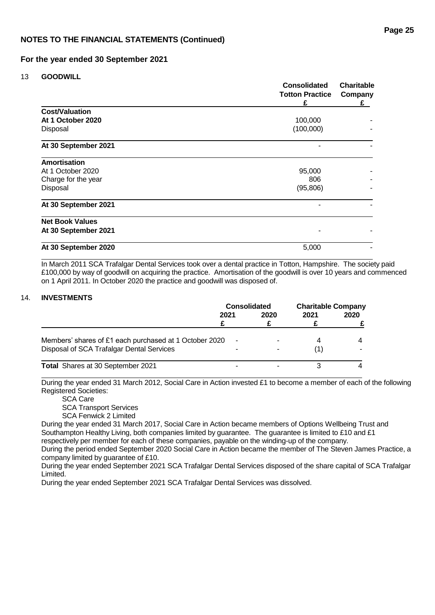13 **GOODWILL**

|                        | <b>Consolidated</b><br><b>Totton Practice</b><br>£ | <b>Charitable</b><br>Company<br>£ |  |
|------------------------|----------------------------------------------------|-----------------------------------|--|
| <b>Cost/Valuation</b>  |                                                    |                                   |  |
| At 1 October 2020      | 100,000                                            |                                   |  |
| Disposal               | (100,000)                                          |                                   |  |
| At 30 September 2021   |                                                    |                                   |  |
| <b>Amortisation</b>    |                                                    |                                   |  |
| At 1 October 2020      | 95,000                                             |                                   |  |
| Charge for the year    | 806                                                |                                   |  |
| Disposal               | (95, 806)                                          |                                   |  |
| At 30 September 2021   |                                                    |                                   |  |
| <b>Net Book Values</b> |                                                    |                                   |  |
| At 30 September 2021   |                                                    |                                   |  |
| At 30 September 2020   | 5,000                                              |                                   |  |

In March 2011 SCA Trafalgar Dental Services took over a dental practice in Totton, Hampshire. The society paid £100,000 by way of goodwill on acquiring the practice. Amortisation of the goodwill is over 10 years and commenced on 1 April 2011. In October 2020 the practice and goodwill was disposed of.

#### 14. **INVESTMENTS**

|                                                        | <b>Consolidated</b> |      | <b>Charitable Company</b> |      |
|--------------------------------------------------------|---------------------|------|---------------------------|------|
|                                                        | 2021                | 2020 | 2021                      | 2020 |
|                                                        |                     |      |                           |      |
| Members' shares of £1 each purchased at 1 October 2020 |                     |      |                           |      |
| Disposal of SCA Trafalgar Dental Services              |                     |      |                           |      |
| Total Shares at 30 September 2021                      |                     |      |                           |      |

During the year ended 31 March 2012, Social Care in Action invested £1 to become a member of each of the following Registered Societies:

SCA Care

SCA Transport Services

SCA Fenwick 2 Limited

During the year ended 31 March 2017, Social Care in Action became members of Options Wellbeing Trust and Southampton Healthy Living, both companies limited by quarantee. The quarantee is limited to £10 and £1 respectively per member for each of these companies, payable on the winding-up of the company.

During the period ended September 2020 Social Care in Action became the member of The Steven James Practice, a company limited by guarantee of £10.

During the year ended September 2021 SCA Trafalgar Dental Services disposed of the share capital of SCA Trafalgar Limited.

During the year ended September 2021 SCA Trafalgar Dental Services was dissolved.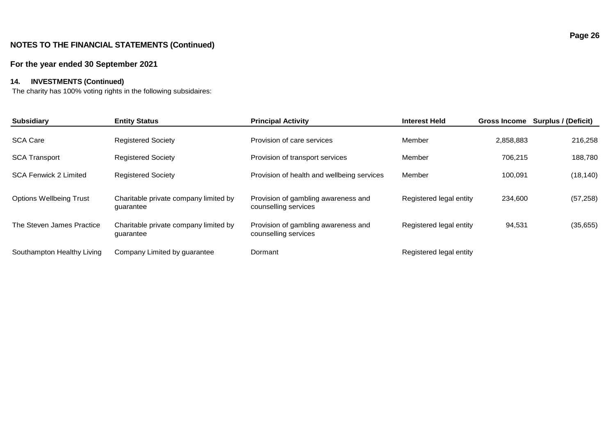#### **For the year ended 3 0 September 202 1**

### **14. INVESTMENTS (Continued)**

The charity has 100% voting rights in the following subsidaires:

| <b>Subsidiary</b>              | <b>Entity Status</b>                               | <b>Principal Activity</b>                                   | <b>Interest Held</b>    | <b>Gross Income</b> | Surplus / (Deficit) |
|--------------------------------|----------------------------------------------------|-------------------------------------------------------------|-------------------------|---------------------|---------------------|
| <b>SCA Care</b>                | <b>Registered Society</b>                          | Provision of care services                                  | Member                  | 2,858,883           | 216,258             |
| <b>SCA Transport</b>           | <b>Registered Society</b>                          | Provision of transport services                             | Member                  | 706.215             | 188,780             |
| <b>SCA Fenwick 2 Limited</b>   | <b>Registered Society</b>                          | Provision of health and wellbeing services                  | Member                  | 100,091             | (18, 140)           |
| <b>Options Wellbeing Trust</b> | Charitable private company limited by<br>guarantee | Provision of gambling awareness and<br>counselling services | Registered legal entity | 234,600             | (57, 258)           |
| The Steven James Practice      | Charitable private company limited by<br>quarantee | Provision of gambling awareness and<br>counselling services | Registered legal entity | 94,531              | (35, 655)           |
| Southampton Healthy Living     | Company Limited by guarantee                       | Dormant                                                     | Registered legal entity |                     |                     |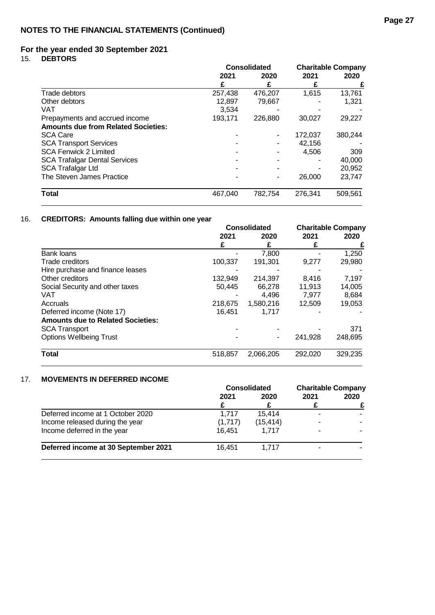15. **DEBTORS**

|                                            | <b>Consolidated</b> |         | <b>Charitable Company</b> |         |
|--------------------------------------------|---------------------|---------|---------------------------|---------|
|                                            | 2021                | 2020    | 2021                      | 2020    |
|                                            |                     |         |                           |         |
| Trade debtors                              | 257,438             | 476,207 | 1,615                     | 13,761  |
| Other debtors                              | 12,897              | 79.667  |                           | 1.321   |
| VAT                                        | 3.534               |         |                           |         |
| Prepayments and accrued income             | 193,171             | 226,880 | 30,027                    | 29,227  |
| <b>Amounts due from Related Societies:</b> |                     |         |                           |         |
| <b>SCA Care</b>                            |                     |         | 172,037                   | 380,244 |
| <b>SCA Transport Services</b>              |                     |         | 42,156                    |         |
| <b>SCA Fenwick 2 Limited</b>               |                     |         | 4.506                     | 309     |
| <b>SCA Trafalgar Dental Services</b>       |                     |         |                           | 40,000  |
| <b>SCA Trafalgar Ltd</b>                   |                     |         |                           | 20,952  |
| The Steven James Practice                  |                     |         | 26,000                    | 23,747  |
| <b>Total</b>                               | 467.040             | 782,754 | 276.341                   | 509.561 |

# 16. **CREDITORS: Amounts falling due within one year**

|                                          | <b>Consolidated</b> |           | <b>Charitable Company</b> |         |
|------------------------------------------|---------------------|-----------|---------------------------|---------|
|                                          | 2021                | 2020      | 2021                      | 2020    |
|                                          |                     |           |                           |         |
| Bank loans                               |                     | 7.800     |                           | 1,250   |
| Trade creditors                          | 100,337             | 191,301   | 9,277                     | 29,980  |
| Hire purchase and finance leases         |                     |           |                           |         |
| Other creditors                          | 132,949             | 214,397   | 8.416                     | 7,197   |
| Social Security and other taxes          | 50,445              | 66.278    | 11,913                    | 14,005  |
| VAT                                      |                     | 4.496     | 7.977                     | 8,684   |
| Accruals                                 | 218,675             | 1,580,216 | 12,509                    | 19,053  |
| Deferred income (Note 17)                | 16.451              | 1.717     |                           |         |
| <b>Amounts due to Related Societies:</b> |                     |           |                           |         |
| <b>SCA Transport</b>                     |                     |           |                           | 371     |
| <b>Options Wellbeing Trust</b>           |                     |           | 241,928                   | 248,695 |
| <b>Total</b>                             | 518,857             | 2,066,205 | 292.020                   | 329,235 |

#### 17. **MOVEMENTS IN DEFERRED INCOME**

|                                      | <b>Consolidated</b> |           | <b>Charitable Company</b> |  |      |
|--------------------------------------|---------------------|-----------|---------------------------|--|------|
|                                      | 2021                |           | 2021<br>2020              |  | 2020 |
|                                      |                     |           |                           |  |      |
| Deferred income at 1 October 2020    | 1.717               | 15.414    |                           |  |      |
| Income released during the year      | (1,717)             | (15, 414) | -                         |  |      |
| Income deferred in the year          | 16.451              | 1.717     |                           |  |      |
| Deferred income at 30 September 2021 | 16.451              | 1.717     |                           |  |      |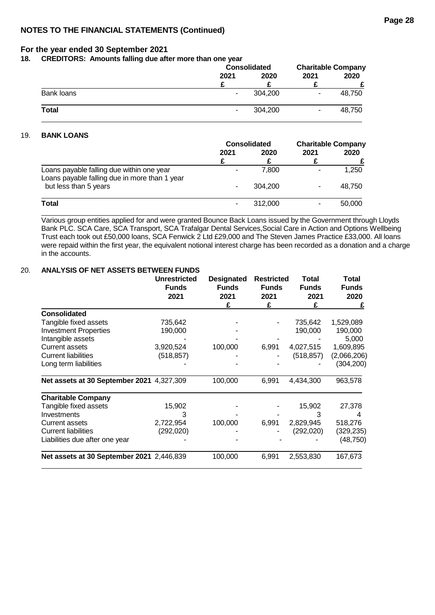**18. CREDITORS: Amounts falling due after more than one year**

|              |      | <b>Consolidated</b> |      | <b>Charitable Company</b> |      |
|--------------|------|---------------------|------|---------------------------|------|
|              | 2021 | 2020                | 2021 |                           | 2020 |
|              |      |                     |      |                           |      |
| Bank loans   | ۰.   | 304.200             | ۰    | 48,750                    |      |
| <b>Total</b> | ۰.   | 304.200             | ۰    | 48.750                    |      |

#### 19. **BANK LOANS**

|                                                                                            | <b>Consolidated</b> |         | <b>Charitable Company</b> |        |
|--------------------------------------------------------------------------------------------|---------------------|---------|---------------------------|--------|
|                                                                                            | 2021                | 2020    | 2021                      | 2020   |
|                                                                                            |                     |         |                           |        |
| Loans payable falling due within one year<br>Loans payable falling due in more than 1 year |                     | 7.800   |                           | 1,250  |
| but less than 5 years                                                                      |                     | 304.200 |                           | 48.750 |
| <b>Total</b>                                                                               |                     | 312,000 |                           | 50,000 |

Various group entities applied for and were granted Bounce Back Loans issued by the Government through Lloyds Bank PLC. SCA Care, SCA Transport, SCA Trafalgar Dental Services,Social Care in Action and Options Wellbeing Trust each took out £50,000 loans, SCA Fenwick 2 Ltd £29,000 and The Steven James Practice £33,000. All loans were repaid within the first year, the equivalent notional interest charge has been recorded as a donation and a charge in the accounts.

#### 20. **ANALYSIS OF NET ASSETS BETWEEN FUNDS**

|                                           | <b>Unrestricted</b><br><b>Funds</b><br>2021 | <b>Designated</b><br><b>Funds</b><br>2021<br>£ | <b>Restricted</b><br><b>Funds</b><br>2021<br>£ | Total<br><b>Funds</b><br>2021<br>£ | Total<br><b>Funds</b><br>2020<br>£ |
|-------------------------------------------|---------------------------------------------|------------------------------------------------|------------------------------------------------|------------------------------------|------------------------------------|
| <b>Consolidated</b>                       |                                             |                                                |                                                |                                    |                                    |
| Tangible fixed assets                     | 735,642                                     |                                                |                                                | 735,642                            | 1,529,089                          |
| <b>Investment Properties</b>              | 190,000                                     |                                                |                                                | 190,000                            | 190,000                            |
| Intangible assets                         |                                             |                                                |                                                |                                    | 5,000                              |
| <b>Current assets</b>                     | 3,920,524                                   | 100,000                                        | 6,991                                          | 4,027,515                          | 1,609,895                          |
| <b>Current liabilities</b>                | (518, 857)                                  |                                                |                                                | (518, 857)                         | (2,066,206)                        |
| Long term liabilities                     |                                             |                                                |                                                |                                    | (304, 200)                         |
| Net assets at 30 September 2021 4,327,309 |                                             | 100,000                                        | 6,991                                          | 4,434,300                          | 963,578                            |
| <b>Charitable Company</b>                 |                                             |                                                |                                                |                                    |                                    |
| Tangible fixed assets                     | 15,902                                      |                                                |                                                | 15,902                             | 27,378                             |
| Investments                               | 3                                           |                                                |                                                | з                                  |                                    |
| <b>Current assets</b>                     | 2,722,954                                   | 100,000                                        | 6,991                                          | 2,829,945                          | 518,276                            |
| <b>Current liabilities</b>                | (292, 020)                                  |                                                |                                                | (292, 020)                         | (329,235)                          |
| Liabilities due after one year            |                                             |                                                |                                                |                                    | (48, 750)                          |
| Net assets at 30 September 2021 2,446,839 |                                             | 100,000                                        | 6,991                                          | 2,553,830                          | 167,673                            |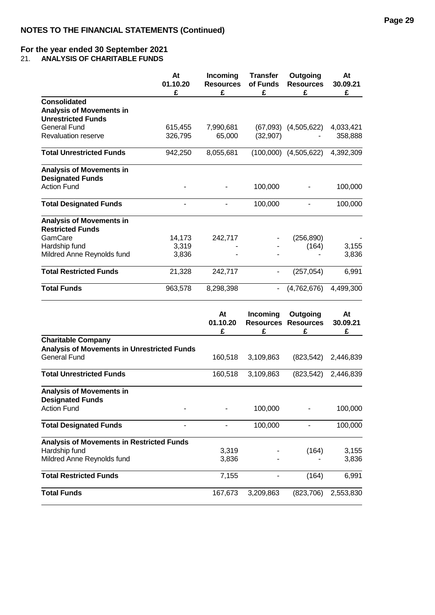21. **ANALYSIS OF CHARITABLE FUNDS**

|                                                            | At<br>01.10.20<br>£ | Incoming<br><b>Resources</b><br>£ | <b>Transfer</b><br>of Funds<br>£ | Outgoing<br><b>Resources</b><br>£      | At<br>30.09.21<br>£ |
|------------------------------------------------------------|---------------------|-----------------------------------|----------------------------------|----------------------------------------|---------------------|
| <b>Consolidated</b>                                        |                     |                                   |                                  |                                        |                     |
| <b>Analysis of Movements in</b>                            |                     |                                   |                                  |                                        |                     |
| <b>Unrestricted Funds</b>                                  |                     |                                   |                                  |                                        |                     |
| <b>General Fund</b>                                        | 615,455             | 7,990,681                         | (67,093)                         | (4,505,622)                            | 4,033,421           |
| <b>Revaluation reserve</b>                                 | 326,795             | 65,000                            | (32, 907)                        |                                        | 358,888             |
| <b>Total Unrestricted Funds</b>                            | 942,250             | 8,055,681                         |                                  | $(100,000)$ $(4,505,622)$              | 4,392,309           |
| <b>Analysis of Movements in</b><br><b>Designated Funds</b> |                     |                                   |                                  |                                        |                     |
| <b>Action Fund</b>                                         |                     |                                   | 100,000                          |                                        | 100,000             |
| <b>Total Designated Funds</b>                              |                     |                                   | 100,000                          |                                        | 100,000             |
| <b>Analysis of Movements in</b><br><b>Restricted Funds</b> |                     |                                   |                                  |                                        |                     |
| GamCare                                                    | 14,173              | 242,717                           |                                  | (256, 890)                             |                     |
| Hardship fund                                              | 3,319               |                                   |                                  | (164)                                  | 3,155               |
| Mildred Anne Reynolds fund                                 | 3,836               |                                   |                                  |                                        | 3,836               |
| <b>Total Restricted Funds</b>                              | 21,328              | 242,717                           |                                  | (257, 054)                             | 6,991               |
| <b>Total Funds</b>                                         | 963,578             | 8,298,398                         |                                  | (4,762,676)                            | 4,499,300           |
|                                                            |                     | At<br>01.10.20                    | Incoming                         | Outgoing<br><b>Resources Resources</b> | At<br>30.09.21      |

|                                                    |         | u, vvv    |            |           |
|----------------------------------------------------|---------|-----------|------------|-----------|
|                                                    | £       | £         | £          | £         |
| <b>Charitable Company</b>                          |         |           |            |           |
| <b>Analysis of Movements in Unrestricted Funds</b> |         |           |            |           |
| General Fund                                       | 160,518 | 3,109,863 | (823, 542) | 2,446,839 |
|                                                    |         |           |            |           |
| <b>Total Unrestricted Funds</b>                    | 160,518 | 3,109,863 | (823, 542) | 2,446,839 |
| <b>Analysis of Movements in</b>                    |         |           |            |           |
| <b>Designated Funds</b>                            |         |           |            |           |
| <b>Action Fund</b>                                 |         | 100,000   |            | 100,000   |
|                                                    |         |           |            |           |
| <b>Total Designated Funds</b>                      |         | 100,000   |            | 100,000   |
| <b>Analysis of Movements in Restricted Funds</b>   |         |           |            |           |
| Hardship fund                                      | 3,319   |           | (164)      | 3,155     |
| Mildred Anne Reynolds fund                         | 3,836   |           |            | 3,836     |
| <b>Total Restricted Funds</b>                      | 7,155   |           | (164)      | 6,991     |
| <b>Total Funds</b>                                 | 167,673 | 3,209,863 | (823, 706) | 2,553,830 |
|                                                    |         |           |            |           |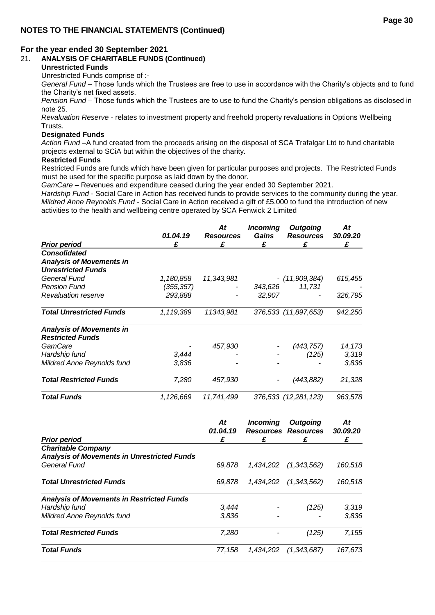#### 21. **ANALYSIS OF CHARITABLE FUNDS (Continued)**

#### **Unrestricted Funds**

Unrestricted Funds comprise of :-

*General Fund* – Those funds which the Trustees are free to use in accordance with the Charity's objects and to fund the Charity's net fixed assets.

**Page 30**

*Pension Fund* – Those funds which the Trustees are to use to fund the Charity's pension obligations as disclosed in note 25.

*Revaluation Reserve* - relates to investment property and freehold property revaluations in Options Wellbeing Trusts.

#### **Designated Funds**

*Action Fund* –A fund created from the proceeds arising on the disposal of SCA Trafalgar Ltd to fund charitable projects external to SCiA but within the objectives of the charity.

#### **Restricted Funds**

Restricted Funds are funds which have been given for particular purposes and projects. The Restricted Funds must be used for the specific purpose as laid down by the donor.

*GamCare –* Revenues and expenditure ceased during the year ended 30 September 2021.

*Hardship Fund* - Social Care in Action has received funds to provide services to the community during the year. *Mildred Anne Reynolds Fund* - Social Care in Action received a gift of £5,000 to fund the introduction of new activities to the health and wellbeing centre operated by SCA Fenwick 2 Limited

|                                                    | 01.04.19   | At<br><b>Resources</b> | <b>Incoming</b><br><b>Gains</b> | <b>Outgoing</b><br><b>Resources</b> | At<br>30.09.20 |
|----------------------------------------------------|------------|------------------------|---------------------------------|-------------------------------------|----------------|
| <b>Prior period</b>                                | £          | £                      | £                               | £                                   | £              |
| <b>Consolidated</b>                                |            |                        |                                 |                                     |                |
| <b>Analysis of Movements in</b>                    |            |                        |                                 |                                     |                |
| <b>Unrestricted Funds</b>                          |            |                        |                                 |                                     |                |
| <b>General Fund</b>                                | 1,180,858  | 11,343,981             |                                 | - (11,909,384)                      | 615,455        |
| <b>Pension Fund</b>                                | (355, 357) |                        | 343,626                         | 11,731                              |                |
| <b>Revaluation reserve</b>                         | 293,888    |                        | 32,907                          | $\overline{\phantom{0}}$            | 326,795        |
| <b>Total Unrestricted Funds</b>                    | 1,119,389  | 11343,981              |                                 | 376,533 (11,897,653)                | 942,250        |
| <b>Analysis of Movements in</b>                    |            |                        |                                 |                                     |                |
| <b>Restricted Funds</b>                            |            |                        |                                 |                                     |                |
| GamCare                                            |            | 457,930                |                                 | (443, 757)                          | 14,173         |
| Hardship fund                                      | 3,444      |                        |                                 | (125)                               | 3,319          |
| Mildred Anne Reynolds fund                         | 3,836      |                        |                                 |                                     | 3,836          |
| <b>Total Restricted Funds</b>                      | 7,280      | 457,930                |                                 | (443, 882)                          | 21,328         |
| <b>Total Funds</b>                                 | 1,126,669  | 11,741,499             |                                 | 376,533 (12,281,123)                | 963,578        |
|                                                    |            | At                     | <b>Incoming</b>                 | <b>Outgoing</b>                     | At             |
| <b>Prior period</b>                                |            | 01.04.19<br>£          | £                               | <b>Resources Resources</b><br>£     | 30.09.20<br>£  |
| <b>Charitable Company</b>                          |            |                        |                                 |                                     |                |
| <b>Analysis of Movements in Unrestricted Funds</b> |            |                        |                                 |                                     |                |
| <b>General Fund</b>                                |            | 69,878                 | 1,434,202                       | (1, 343, 562)                       | 160,518        |
| <b>Total Unrestricted Funds</b>                    |            | 69,878                 |                                 | 1,434,202 (1,343,562)               | 160,518        |
| <b>Analysis of Movements in Restricted Funds</b>   |            |                        |                                 |                                     |                |
| Hardship fund                                      |            | 3,444                  |                                 | (125)                               | 3,319          |

*Mildred Anne Reynolds fund 3,836 - - 3,836*

*Total Restricted Funds 7,280 - (125) 7,155*

*Total Funds 77,158 1,434,202 (1,343,687) 167,673*